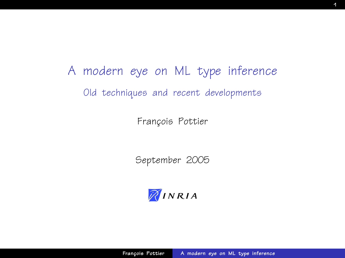A modern eye on ML type inference Old techniques and recent developments

François Pottier

September 2005

<span id="page-0-0"></span>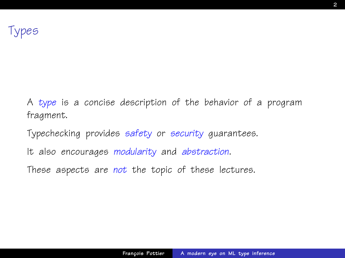A type is a concise description of the behavior of a program fragment.

Typechecking provides safety or security guarantees.

It also encourages modularity and abstraction.

These aspects are not the topic of these lectures.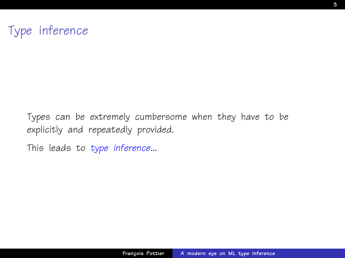

Types can be extremely cumbersome when they have to be explicitly and repeatedly provided.

This leads to type inference...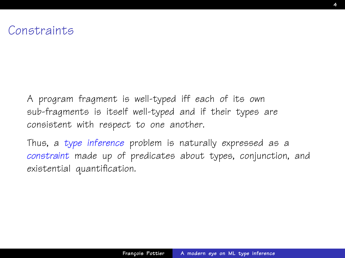## **Constraints**

A program fragment is well-typed iff each of its own sub-fragments is itself well-typed and if their types are consistent with respect to one another.

Thus, a type inference problem is naturally expressed as a constraint made up of predicates about types, conjunction, and existential quantification.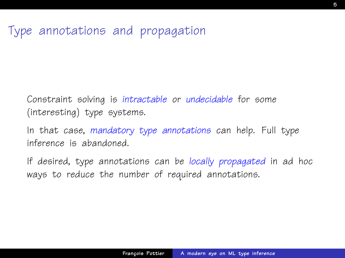# Type annotations and propagation

Constraint solving is intractable or undecidable for some (interesting) type systems.

In that case, mandatory type annotations can help. Full type inference is abandoned.

If desired, type annotations can be locally propagated in ad hoc ways to reduce the number of required annotations.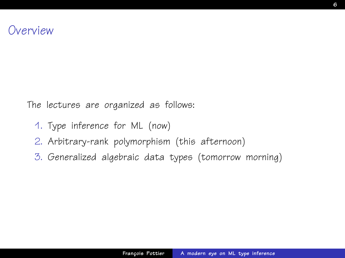The lectures are organized as follows:

- 1. Type inference for ML (now)
- 2. Arbitrary-rank polymorphism (this afternoon)
- 3. Generalized algebraic data types (tomorrow morning)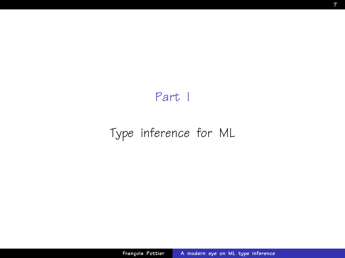## <span id="page-6-0"></span>Part I

# [Type inference for ML](#page-6-0)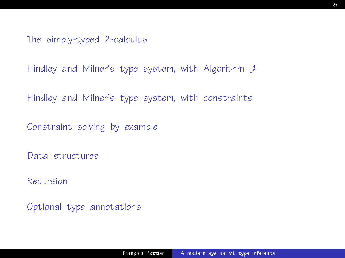#### [The simply-typed](#page-8-0) λ-calculus

[Hindley and Milner's type system, with Algorithm](#page-19-0)  $J$ 

[Hindley and Milner's type system, with constraints](#page-31-0)

[Constraint solving by example](#page-40-0)

[Data structures](#page-54-0)

[Recursion](#page-67-0)

[Optional type annotations](#page-76-0)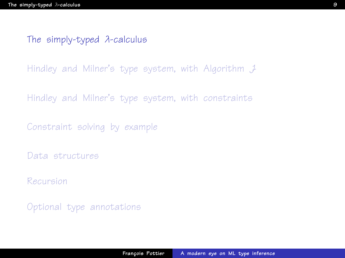#### [The simply-typed](#page-8-0) λ-calculus

[Hindley and Milner's type system, with Algorithm](#page-19-0)  $J$ 

[Hindley and Milner's type system, with constraints](#page-31-0)

[Constraint solving by example](#page-40-0)

[Data structures](#page-54-0)

[Recursion](#page-67-0)

<span id="page-8-0"></span>[Optional type annotations](#page-76-0)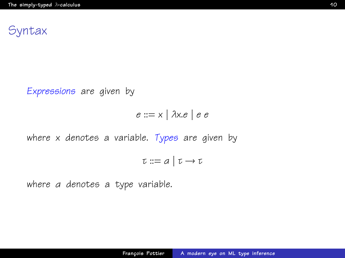**Syntax** 

Expressions are given by

$$
e ::= x \mid \lambda x.e \mid e \ e
$$

where x denotes a variable. Types are given by

$$
\tau ::= a \mid \tau \to \tau
$$

where a denotes a type variable.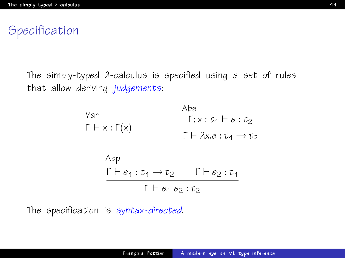**Specification** 

The simply-typed λ-calculus is specified using a set of rules that allow deriving judgements:



$$
\begin{array}{ccc}\n\text{App} & & \text{F} \vdash e_1 : \tau_1 \rightarrow \tau_2 & & \text{F} \vdash e_2 : \tau_1 \\
 & & \text{F} \vdash e_1 e_2 : \tau_2\n\end{array}
$$

The specification is syntax-directed.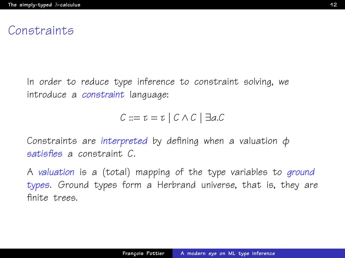#### **Congtraints**

In order to reduce type inference to constraint solving, we introduce a constraint language:

$$
C ::= \tau = \tau \mid C \wedge C \mid \exists a.C
$$

Constraints are interpreted by defining when a valuation  $\phi$ satisfies a constraint C.

A valuation is a (total) mapping of the type variables to ground types. Ground types form a Herbrand universe, that is, they are finite trees.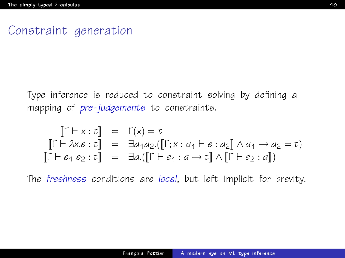#### Constraint generation

Type inference is reduced to constraint solving by defining a mapping of pre-judgements to constraints.

$$
\begin{array}{rcl}\n\left[\Gamma \vdash x : \tau\right] & = & \Gamma(x) = \tau \\
\left[\Gamma \vdash \lambda x . e : \tau\right] & = & \exists a_1 a_2 . (\left[\Gamma; x : a_1 \vdash e : a_2\right] \land a_1 \to a_2 = \tau) \\
\left[\Gamma \vdash e_1 \ e_2 : \tau\right] & = & \exists a . (\left[\Gamma \vdash e_1 : a \to \tau\right] \land \left[\Gamma \vdash e_2 : a\right])\n\end{array}
$$

The freshness conditions are local, but left implicit for brevity.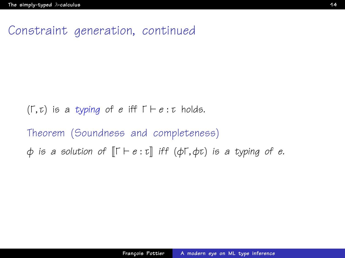## Constraint generation, continued

#### $(\Gamma, \tau)$  is a typing of e iff  $\Gamma \vdash e : \tau$  holds.

# Theorem (Soundness and completeness)  $\phi$  is a solution of  $\mathbb{I} \vdash e : \tau \mathbb{I}$  iff  $(\phi \upharpoonright, \phi \tau)$  is a typing of e.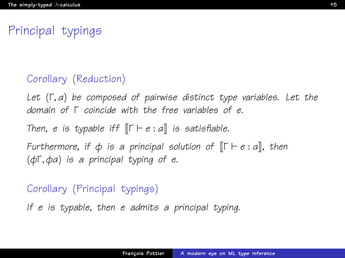# Principal typings

#### Corollary (Reduction)

Let  $(\Gamma, a)$  be composed of pairwise distinct type variables. Let the domain of Γ coincide with the free variables of e.

Then, e is typable iff  $\lbrack \lbrack \lbrack \rbrack + e : a \rbrack$  is satisfiable.

Furthermore, if  $\phi$  is a principal solution of  $\|\Gamma \vdash e : a\|$ , then  $(\phi \Gamma, \phi a)$  is a principal typing of e.

Corollary (Principal typings)

If e is typable, then e admits a principal typing.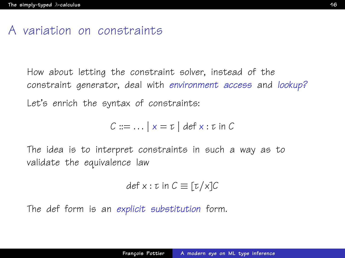## A variation on constraints

How about letting the constraint solver, instead of the constraint generator, deal with environment access and lookup? Let's enrich the syntax of constraints:

$$
C ::= \dots | x = \tau | \text{def } x : \tau \text{ in } C
$$

The idea is to interpret constraints in such a way as to validate the equivalence law

$$
def x : \tau in C \equiv [\tau/x]C
$$

The def form is an explicit substitution form.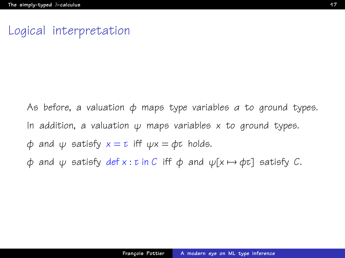## Logical interpretation

As before, a valuation  $\phi$  maps type variables a to ground types. In addition, a valuation  $\psi$  maps variables x to ground types. φ and  $\psi$  satisfy  $x = \tau$  iff  $\psi x = \phi \tau$  holds.  $\phi$  and  $\psi$  satisfy def x: t in C iff  $\phi$  and  $\psi[x \mapsto \phi\tau]$  satisfy C.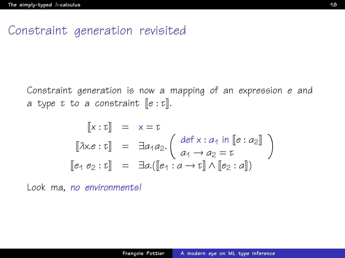## Constraint generation revisited

Constraint generation is now a mapping of an expression e and a type  $\tau$  to a constraint  $\llbracket e : \tau \rrbracket$ .

$$
\begin{aligned}\n\llbracket x : \tau \rrbracket &= x = \tau \\
\llbracket \lambda x . e : \tau \rrbracket &= \exists a_1 a_2. \left( \begin{array}{c} \det x : a_1 \text{ in } \llbracket e : a_2 \rrbracket \\
a_1 \rightarrow a_2 = \tau \\
\llbracket e_1 e_2 : \tau \rrbracket &= \exists a. (\llbracket e_1 : a \rightarrow \tau \rrbracket \land \llbracket e_2 : a \rrbracket)\n\end{array} \right)\n\end{aligned}
$$

Look ma, no environments!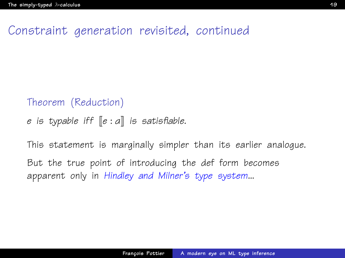## Constraint generation revisited, continued

#### Theorem (Reduction)

e is typable iff  $[e : a]$  is satisfiable.

This statement is marginally simpler than its earlier analogue. But the true point of introducing the def form becomes apparent only in Hindley and Milner's type system...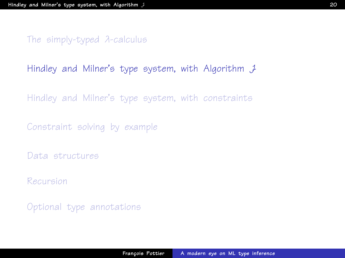#### [The simply-typed](#page-8-0) λ-calculus

#### [Hindley and Milner's type system, with Algorithm](#page-19-0)  $J$

[Hindley and Milner's type system, with constraints](#page-31-0)

[Constraint solving by example](#page-40-0)

[Data structures](#page-54-0)

[Recursion](#page-67-0)

<span id="page-19-0"></span>[Optional type annotations](#page-76-0)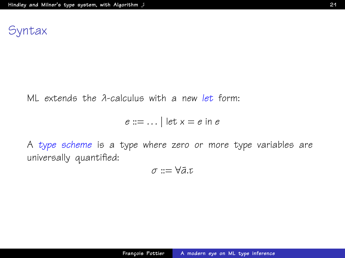**Syntax** 

ML extends the  $\lambda$ -calculus with a new let form:

$$
e ::= \dots | \text{ let } x = e \text{ in } e
$$

A type scheme is a type where zero or more type variables are universally quantified:

$$
\sigma ::= \forall \bar{a}.\tau
$$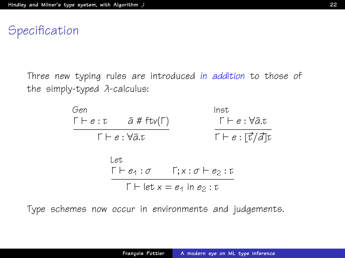**Specification** 

Three new typing rules are introduced in addition to those of the simply-typed λ-calculus:



Let  
\n
$$
\frac{\Gamma \vdash e_1 : \sigma \qquad \Gamma; x : \sigma \vdash e_2 : \tau}{\Gamma \vdash \text{let } x = e_1 \text{ in } e_2 : \tau}
$$

Type schemes now occur in environments and judgements.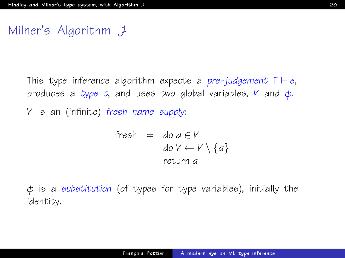## Milner's Algorithm J

This type inference algorithm expects a pre-judgement  $\Gamma \vdash e$ , produces a type  $\tau$ , and uses two global variables, V and  $\phi$ . V is an (infinite) fresh name supply:

$$
\begin{array}{rcl}\n\text{fresh} & = & \text{do } a \in V \\
& \text{do } V \leftarrow V \setminus \{a\} \\
& \text{return } a\n\end{array}
$$

 $\phi$  is a substitution (of types for type variables), initially the identity.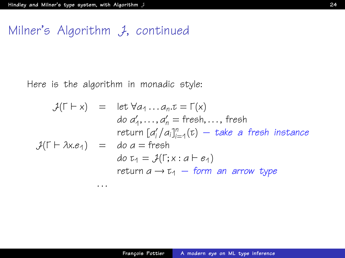## Milner's Algorithm *J*, continued

Here is the algorithm in monadic style:

$$
\mathcal{J}(\Gamma \vdash x) = \text{let } \forall a_1 ... a_n \in \Gamma(x)
$$
\n
$$
\text{do } a'_1, ..., a'_n = \text{fresh}, ..., \text{fresh}
$$
\n
$$
\mathcal{J}(\Gamma \vdash \lambda x.e_1) = \text{do } a = \text{fresh}
$$
\n
$$
\text{do } a_1 = \text{fresh}
$$
\n
$$
\text{do } a = \text{fresh}
$$
\n
$$
\text{do } \tau_1 = \mathcal{J}(\Gamma; x : a \vdash e_1)
$$
\n
$$
\text{return } a \rightarrow \tau_1 - \text{form} \text{ an arrow type}
$$
\n
$$
\dots
$$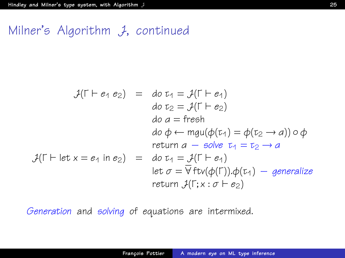## Milner's Algorithm J, continued

$$
\mathcal{J}(\Gamma \vdash e_1 e_2) = do \tau_1 = \mathcal{J}(\Gamma \vdash e_1)
$$
\n
$$
do \tau_2 = \mathcal{J}(\Gamma \vdash e_2)
$$
\n
$$
do \sigma = \text{free}
$$
\n
$$
do \phi \leftarrow \text{mgu}(\phi(\tau_1) = \phi(\tau_2 \rightarrow a)) \circ \phi
$$
\n
$$
\mathcal{J}(\Gamma \vdash \text{let } x = e_1 \text{ in } e_2) = do \tau_1 = \mathcal{J}(\Gamma \vdash e_1)
$$
\n
$$
\text{let } \sigma = \overline{\forall} \text{ftv}(\phi(\Gamma)).\phi(\tau_1) - \text{generalize}
$$
\n
$$
\text{return } \mathcal{J}(\Gamma; x : \sigma \vdash e_2)
$$

Generation and solving of equations are intermixed.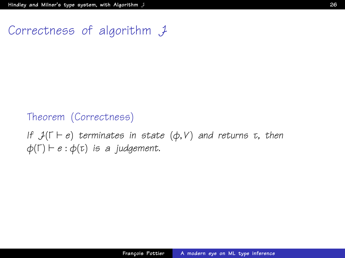## Correctness of algorithm J

#### Theorem (Correctness)

If  $J(\Gamma \vdash e)$  terminates in state  $(\phi, V)$  and returns  $\tau$ , then  $\phi(\Gamma) \vdash e : \phi(\tau)$  is a judgement.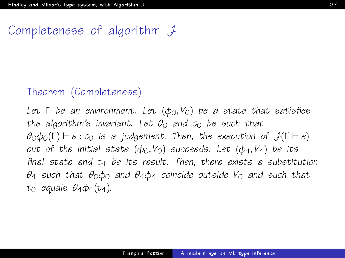## Completeness of algorithm J

#### Theorem (Completeness)

Let  $\Gamma$  be an environment. Let  $(\phi_0, V_0)$  be a state that satisfies the algorithm's invariant. Let  $\theta_0$  and  $\tau_0$  be such that  $\theta_0 \phi_0(\Gamma) \vdash e : \tau_0$  is a judgement. Then, the execution of  $\mathcal{J}(\Gamma \vdash e)$ out of the initial state  $(\phi_0, V_0)$  succeeds. Let  $(\phi_1, V_1)$  be its final state and  $t_1$  be its result. Then, there exists a substitution  $\theta_1$  such that  $\theta_0\phi_0$  and  $\theta_1\phi_1$  coincide outside  $V_0$  and such that τ<sub>0</sub> equals  $θ_1φ_1(t_1)$ .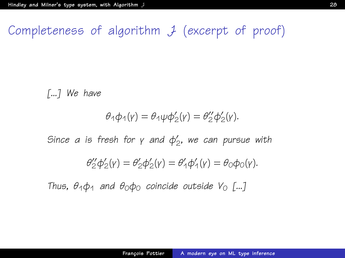# Completeness of algorithm  $\mathcal{I}$  (excerpt of proof)

[...] We have

$$
\theta_1\phi_1(\gamma)=\theta_1\psi\phi_2'(\gamma)=\theta_2''\phi_2'(\gamma).
$$

Since a is fresh for  $\gamma$  and  $\phi'_2$ , we can pursue with  $θ''<sub>2</sub>φ'<sub>2</sub>(γ) = θ'<sub>2</sub>φ'<sub>2</sub>(γ) = θ'<sub>1</sub>φ'<sub>1</sub>(γ) = θ<sub>0</sub>φ<sub>0</sub>(γ).$ 

Thus,  $\theta_1\phi_1$  and  $\theta_0\phi_0$  coincide outside  $V_0$  [...]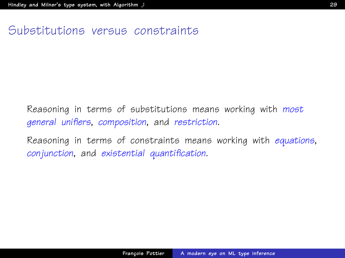#### Substitutions versus constraints

Reasoning in terms of substitutions means working with most general unifiers, composition, and restriction.

Reasoning in terms of constraints means working with equations, conjunction, and existential quantification.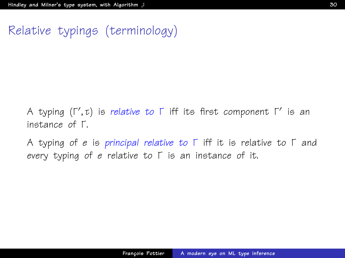## Relative typings (terminology)

A typing (Γ',τ) is relative to Γ iff its first component Γ' is an instance of Γ.

A typing of e is principal relative to Γ iff it is relative to Γ and every typing of e relative to Γ is an instance of it.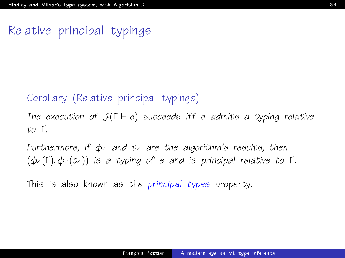# Relative principal typings

#### Corollary (Relative principal typings)

The execution of  $J(\Gamma \vdash e)$  succeeds iff e admits a typing relative to Γ.

Furthermore, if  $\phi_1$  and  $\tau_1$  are the algorithm's results, then  $(\phi_1(\Gamma), \phi_1(\tau_1))$  is a typing of e and is principal relative to  $\Gamma$ .

This is also known as the principal types property.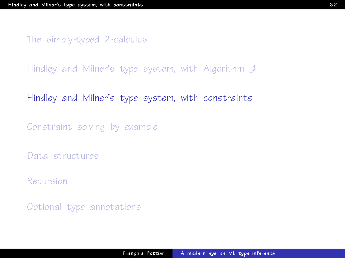#### [The simply-typed](#page-8-0) λ-calculus

[Hindley and Milner's type system, with Algorithm](#page-19-0)  $J$ 

[Hindley and Milner's type system, with constraints](#page-31-0)

[Constraint solving by example](#page-40-0)

[Data structures](#page-54-0)

[Recursion](#page-67-0)

<span id="page-31-0"></span>[Optional type annotations](#page-76-0)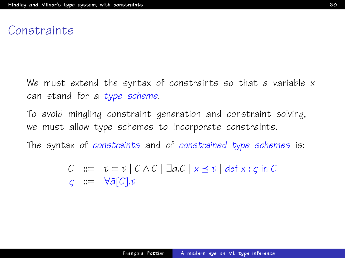#### **Constraints**

We must extend the syntax of constraints so that a variable x can stand for a type scheme.

To avoid mingling constraint generation and constraint solving, we must allow type schemes to incorporate constraints.

The syntax of constraints and of constrained type schemes is:

$$
C ::= \tau = \tau \mid C \wedge C \mid \exists a.C \mid x \leq \tau \mid \text{def } x : \varsigma \text{ in } C
$$
  

$$
\varsigma ::= \forall \bar{a}[C].\tau
$$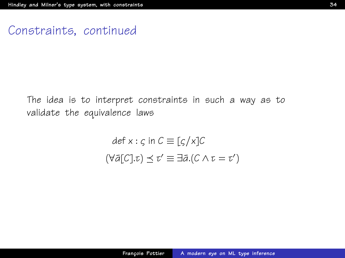#### Constraints, continued

The idea is to interpret constraints in such a way as to validate the equivalence laws

$$
def x : \varsigma in C \equiv [\varsigma/x]C
$$

$$
(\forall \bar{a}[C].\tau) \preceq \tau' \equiv \exists \bar{a}.(C \land \tau = \tau')
$$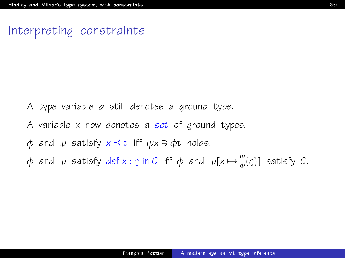#### Interpreting constraints

A type variable α still denotes a ground type. A variable x now denotes a set of ground types. φ and  $\psi$  satisfy  $x \leq \tau$  iff  $\psi x \ni \phi \tau$  holds.  $\phi$  and  $\psi$  satisfy def x:  $\varsigma$  in C iff  $\phi$  and  $\psi$  [x  $\mapsto$   $^{\psi}_{\phi}$  $_\phi^\varphi(\varsigma)]$  satisfy  ${\mathcal C}.$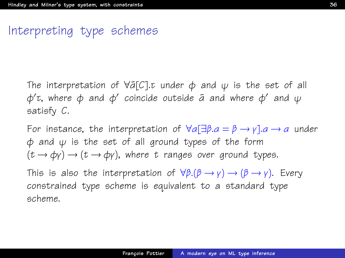#### Interpreting type schemes

The interpretation of  $\forall \bar{a}[\mathcal{C}].\tau$  under  $\phi$  and  $\psi$  is the set of all φ'τ, where  $\phi$  and  $\phi'$  coincide outside  $\bar{a}$  and where  $\phi'$  and  $\psi$ satisfy C.

For instance, the interpretation of  $\forall a$ [ $\exists \beta.a = \beta \rightarrow \gamma$ ]. $a \rightarrow a$  under  $\phi$  and  $\psi$  is the set of all ground types of the form  $(t \rightarrow \phi\gamma) \rightarrow (t \rightarrow \phi\gamma)$ , where t ranges over ground types.

This is also the interpretation of  $\forall \beta.(\beta \rightarrow \gamma) \rightarrow (\beta \rightarrow \gamma)$ . Every constrained type scheme is equivalent to a standard type scheme.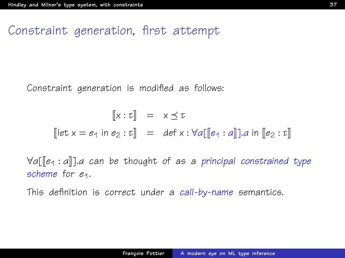#### Constraint generation, first attempt

Constraint generation is modified as follows:

$$
\begin{bmatrix} x : \tau \end{bmatrix} = x \leq \tau
$$
  
\n
$$
\begin{bmatrix} \text{let } x = e_1 \text{ in } e_2 : \tau \end{bmatrix} = \text{def } x : \forall a \text{[[} e_1 : a \text{]]}.a \text{ in } \text{[[} e_2 : \tau \text{]]}
$$

 $\forall a[[e_1: a]]$ . can be thought of as a principal constrained type scheme for  $e_1$ .

This definition is correct under a call-by-name semantics.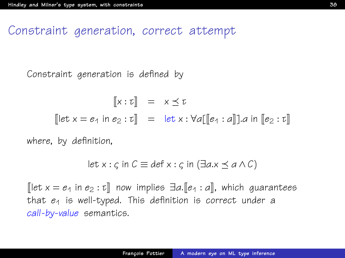#### Constraint generation, correct attempt

Constraint generation is defined by

$$
\begin{bmatrix} [x : \tau] & = & x \preceq \tau \\ \text{[let } x = e_1 \text{ in } e_2 : \tau] & = & \text{let } x : \forall a [\llbracket e_1 : a \rrbracket].a \text{ in } \llbracket e_2 : \tau \rrbracket \end{bmatrix}
$$

where, by definition,

$$
let x : \varsigma in C \equiv def x : \varsigma in (\exists a.x \preceq a \land C)
$$

 $\lbrack \lbrack \rbrack$ et x = e<sub>1</sub> in e<sub>2</sub> : τ $\rbrack \rbrack$  now implies  $\exists a.\lbrack \lbrack e_{1} : a \rbrack$ , which guarantees that  $e_1$  is well-typed. This definition is correct under a call-by-value semantics.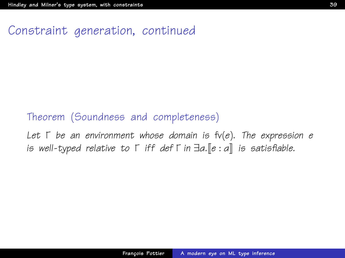#### Constraint generation, continued

#### Theorem (Soundness and completeness)

Let  $\Gamma$  be an environment whose domain is  $f\nu(e)$ . The expression e is well-typed relative to  $\Gamma$  iff def  $\Gamma$  in  $\exists a.\llbracket e:a\rrbracket$  is satisfiable.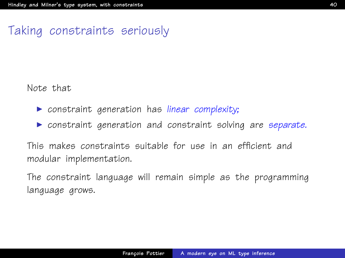## Taking constraints seriously

Note that

- $\triangleright$  constraint generation has linear complexity;
- $\triangleright$  constraint generation and constraint solving are separate.

This makes constraints suitable for use in an efficient and modular implementation.

The constraint language will remain simple as the programming language grows.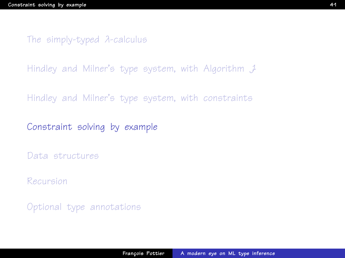#### [The simply-typed](#page-8-0) λ-calculus

[Hindley and Milner's type system, with Algorithm](#page-19-0)  $J$ 

[Hindley and Milner's type system, with constraints](#page-31-0)

[Constraint solving by example](#page-40-0)

[Data structures](#page-54-0)

[Recursion](#page-67-0)

<span id="page-40-0"></span>[Optional type annotations](#page-76-0)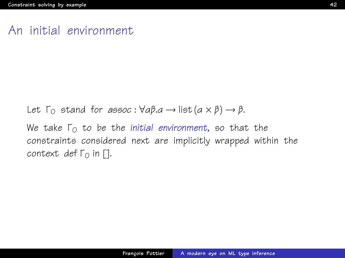#### An initial environment

Let  $\Gamma_0$  stand for assoc:  $\forall a \beta$ . $a \rightarrow$  list  $(a \times \beta) \rightarrow \beta$ .

We take  $\Gamma_0$  to be the initial environment, so that the constraints considered next are implicitly wrapped within the context def  $\Gamma_0$  in  $\Gamma$ .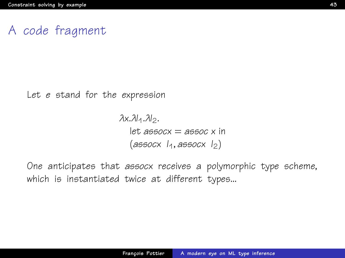# A code fragment

Let *e* stand for the expression

 $\lambda x.\lambda l_1.\lambda l_2.$  $let$  assocx  $=$  assoc x in  $(a\text{550CX } l_1, a\text{550CX } l_2)$ 

One anticipates that assocx receives a polymorphic type scheme, which is instantiated twice at different types...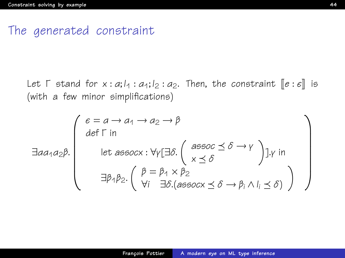#### The generated constraint

Let  $\Gamma$  stand for  $x : a; l_1 : a_1; l_2 : a_2$ . Then, the constraint  $\llbracket e : e \rrbracket$  is (with a few minor simplifications)

$$
\exists aa_{1}a_{2}\beta.\begin{pmatrix} \varepsilon = a \rightarrow a_{1} \rightarrow a_{2} \rightarrow \beta \\ \det \Gamma \text{ in} \\ \det assocx: \forall \gamma [\exists \delta. \begin{pmatrix} assoc \leq \delta \rightarrow \gamma \\ x \leq \delta \end{pmatrix}]\gamma \text{ in} \\ \exists \beta_{1}\beta_{2}. \begin{pmatrix} \beta = \beta_{1} \times \beta_{2} \\ \forall i \end{pmatrix} \exists \delta. (as socx \leq \delta \rightarrow \beta_{i} \land I_{i} \leq \delta) \end{pmatrix}
$$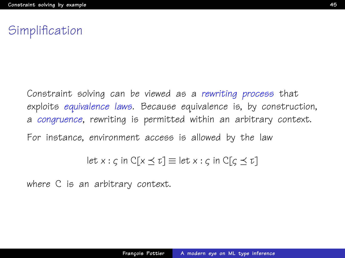## **Simplification**

Constraint solving can be viewed as a rewriting process that exploits equivalence laws. Because equivalence is, by construction, a congruence, rewriting is permitted within an arbitrary context. For instance, environment access is allowed by the law

$$
let x : \varsigma in C[x \leq \tau] \equiv let x : \varsigma in C[\varsigma \leq \tau]
$$

where C is an arbitrary context.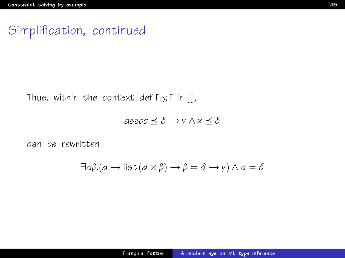Thus, within the context def  $\Gamma_0$ ;  $\Gamma$  in [],

$$
assoc \preceq \delta \rightarrow \gamma \land x \preceq \delta
$$

can be rewritten

$$
\exists a \beta. (a \rightarrow \text{list} (a \times \beta) \rightarrow \beta = \delta \rightarrow \gamma) \land a = \delta
$$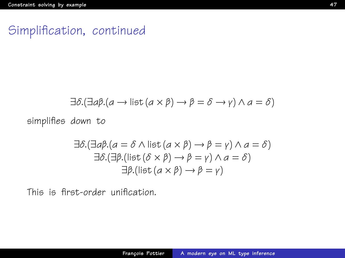$$
\exists \delta. (\exists a \beta. (a \rightarrow \text{list } (a \times \beta) \rightarrow \beta = \delta \rightarrow \gamma) \land a = \delta)
$$

simplifies down to

$$
\exists \delta.(\exists a \beta. (a = \delta \land \text{list } (a \times \beta) \rightarrow \beta = \gamma) \land a = \delta)
$$
  

$$
\exists \delta.(\exists \beta. (\text{list } (\delta \times \beta) \rightarrow \beta = \gamma) \land a = \delta)
$$
  

$$
\exists \beta. (\text{list } (a \times \beta) \rightarrow \beta = \gamma)
$$

This is first-order unification.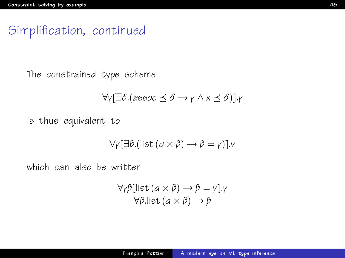The constrained type scheme

$$
\forall \gamma [\exists \delta. (assoc \le \delta \rightarrow \gamma \land x \le \delta)]. \gamma
$$

is thus equivalent to

$$
\forall \gamma [\exists \beta. (\text{list } (a \times \beta) \rightarrow \beta = \gamma)]. \gamma
$$

which can also be written

$$
\forall \gamma \beta [\text{list } (a \times \beta) \rightarrow \beta = \gamma].\gamma
$$
  

$$
\forall \beta \text{.list } (a \times \beta) \rightarrow \beta
$$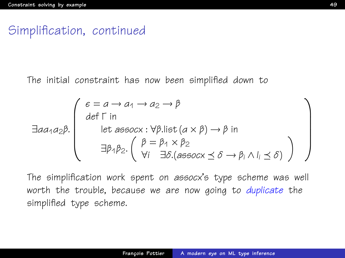The initial constraint has now been simplified down to

$$
\exists aa_{1}a_{2}\beta.\begin{pmatrix} \varepsilon = a \rightarrow a_{1} \rightarrow a_{2} \rightarrow \beta \\ \text{def } \Gamma \text{ in} \\ \text{let } assocx : \forall \beta.\text{list } (a \times \beta) \rightarrow \beta \text{ in} \\ \exists \beta_{1}\beta_{2}.\begin{pmatrix} \beta = \beta_{1} \times \beta_{2} \\ \forall i \end{pmatrix} \\ \exists \beta. (assocx \preceq \delta \rightarrow \beta_{i} \land I_{i} \preceq \delta) \end{pmatrix}
$$

The simplification work spent on assocx's type scheme was well worth the trouble, because we are now going to duplicate the simplified type scheme.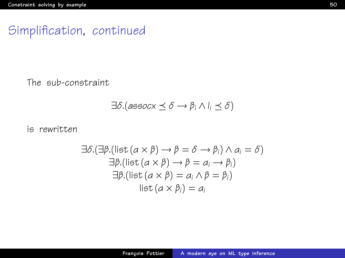The sub-constraint

$$
\exists \delta. (assocx \preceq \delta \rightarrow \beta_i \land l_i \preceq \delta)
$$

is rewritten

$$
\exists \delta.(\exists \beta. (\text{list } (\{ \times \beta \}) \to \beta = \delta \to \beta_i) \land a_i = \delta)
$$
  

$$
\exists \beta. (\text{list } (\{ \times \beta \}) \to \beta = a_i \to \beta_i)
$$
  

$$
\exists \beta. (\text{list } (\{ \times \beta \}) = a_i \land \beta = \beta_i)
$$
  

$$
\text{list } (\{ \times \beta_i \}) = a_i
$$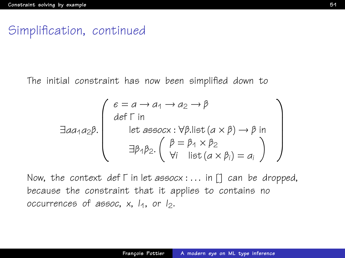The initial constraint has now been simplified down to

$$
\exists aa_1a_2\beta.\begin{pmatrix} \varepsilon = a \rightarrow a_1 \rightarrow a_2 \rightarrow \beta \\ \text{def } \Gamma \text{ in} \\ \text{let } assocx : \forall \beta \text{.list } (a \times \beta) \rightarrow \beta \text{ in} \\ \exists \beta_1 \beta_2. \begin{pmatrix} \beta = \beta_1 \times \beta_2 \\ \forall i \quad \text{list } (a \times \beta_i) = a_i \end{pmatrix} \end{pmatrix}
$$

Now, the context def  $\Gamma$  in let assocx :... in  $\left[\right]$  can be dropped, because the constraint that it applies to contains no occurrences of assoc,  $x, l_1$ , or  $l_2$ .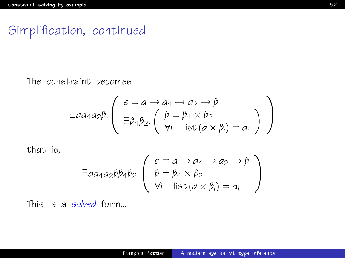The constraint becomes

$$
\exists aa_1a_2\beta. \left( \begin{array}{c} \epsilon = a \rightarrow a_1 \rightarrow a_2 \rightarrow \beta \\ \exists \beta_1 \beta_2. \left( \begin{array}{c} \beta = \beta_1 \times \beta_2 \\ \forall i \quad \text{list} \ (a \times \beta_i) = a_i \end{array} \right) \end{array} \right)
$$

that is,

$$
\exists aa_1a_2 \beta \beta_1 \beta_2. \begin{pmatrix} \varepsilon = a \rightarrow a_1 \rightarrow a_2 \rightarrow \beta \\ \beta = \beta_1 \times \beta_2 \\ \forall i \quad \text{list } (a \times \beta_i) = a_i \end{pmatrix}
$$

This is a solved form...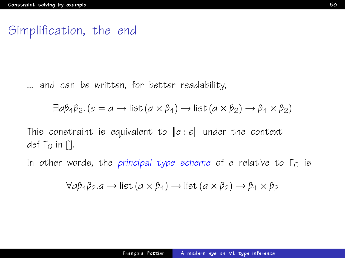#### Simplification, the end

... and can be written, for better readability,

 $\exists a \beta_1 \beta_2. (\epsilon = a \rightarrow \text{list}(a \times \beta_1) \rightarrow \text{list}(a \times \beta_2) \rightarrow \beta_1 \times \beta_2)$ 

This constraint is equivalent to  $\llbracket e : \epsilon \rrbracket$  under the context  $def \Gamma_0$  in  $\Gamma$ .

In other words, the principal type scheme of e relative to  $\Gamma_0$  is

 $\forall a \beta_1 \beta_2 \ldots \rightarrow \text{list}(a \times \beta_1) \rightarrow \text{list}(a \times \beta_2) \rightarrow \beta_1 \times \beta_2$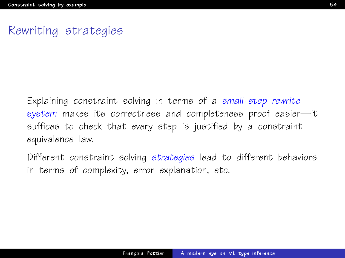### Rewriting strategies

Explaining constraint solving in terms of a small-step rewrite system makes its correctness and completeness proof easier—it suffices to check that every step is justified by a constraint equivalence law.

Different constraint solving strategies lead to different behaviors in terms of complexity, error explanation, etc.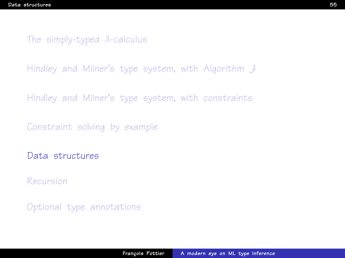#### [The simply-typed](#page-8-0) λ-calculus

[Hindley and Milner's type system, with Algorithm](#page-19-0)  $J$ 

[Hindley and Milner's type system, with constraints](#page-31-0)

[Constraint solving by example](#page-40-0)

[Data structures](#page-54-0)

[Recursion](#page-67-0)

<span id="page-54-0"></span>[Optional type annotations](#page-76-0)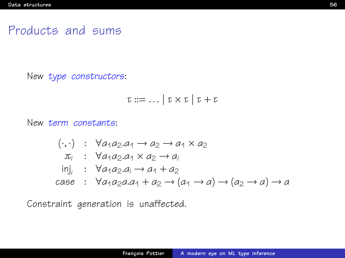#### Products and sums

New type constructors:

$$
\tau ::= \dots | \tau \times \tau | \tau + \tau
$$

New term constants:

$$
(\cdot, \cdot) : \forall a_1 a_2 \ldots a_1 \rightarrow a_2 \rightarrow a_1 \times a_2
$$
  
\n
$$
\pi_i : \forall a_1 a_2 \ldots a_1 \times a_2 \rightarrow a_i
$$
  
\n
$$
\text{inj}_i : \forall a_1 a_2 \ldots a_1 \rightarrow a_1 + a_2
$$
  
\n
$$
\text{case} : \forall a_1 a_2 a \ldots a_1 + a_2 \rightarrow (a_1 \rightarrow a) \rightarrow (a_2 \rightarrow a) \rightarrow a
$$

Constraint generation is unaffected.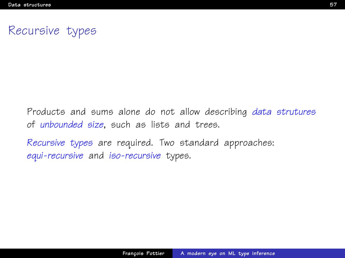## Recursive types

Products and sums alone do not allow describing data strutures of unbounded size, such as lists and trees.

Recursive types are required. Two standard approaches: equi-recursive and iso-recursive types.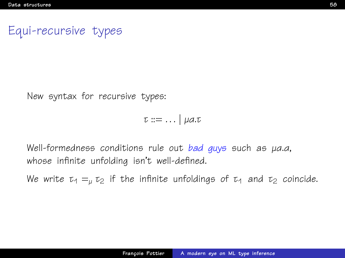## Equi-recursive types

New syntax for recursive types:

 $\tau ::= \ldots \mid \mu a.\tau$ 

Well-formedness conditions rule out bad quys such as  $\mu a.a$ , whose infinite unfolding isn't well-defined.

We write  $\tau_1 = U_2$  if the infinite unfoldings of  $\tau_1$  and  $\tau_2$  coincide.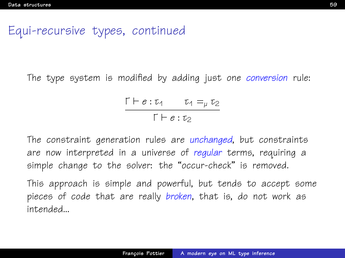### Equi-recursive types, continued

The type system is modified by adding just one conversion rule:

$$
\frac{\Gamma \vdash e : \tau_1 \qquad \tau_1 =_\mu \tau_2}{\Gamma \vdash e : \tau_2}
$$

The constraint generation rules are unchanged, but constraints are now interpreted in a universe of regular terms, requiring a simple change to the solver: the "occur-check" is removed.

This approach is simple and powerful, but tends to accept some pieces of code that are really broken, that is, do not work as intended...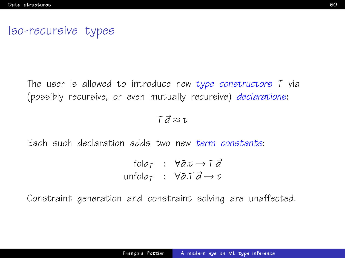#### Iso-recursive types

The user is allowed to introduce new type constructors T via (possibly recursive, or even mutually recursive) declarations:

 $T \vec{d} \approx \tau$ 

Each such declaration adds two new term constants:

$$
\begin{array}{rcl} \n\text{fold}_T & : & \forall \bar{a}.\tau \to \tau \, \vec{a} \\ \n\text{unfold}_T & : & \forall \bar{a}.\tau \, \vec{a} \to \tau \n\end{array}
$$

Constraint generation and constraint solving are unaffected.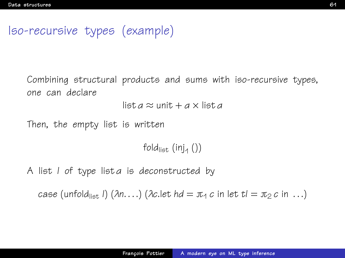# Iso-recursive types (example)

Combining structural products and sums with iso-recursive types, one can declare

```
list a \approx unit + a \times list a
```
Then, the empty list is written

fold<sub>list</sub> (inj<sub>1</sub> ())

A list I of type list a is deconstructed by

case (unfold<sub>list</sub> I) ( $\lambda$ n....) ( $\lambda$ c.let  $hd = \pi_1 c$  in let  $tl = \pi_2 c$  in ...)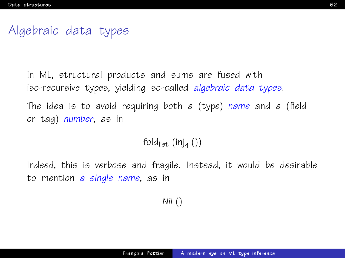#### Algebraic data types

In ML, structural products and sums are fused with iso-recursive types, yielding so-called algebraic data types. The idea is to avoid requiring both a (type) name and a (field or tag) number, as in

fold<sub>list</sub> (inj<sub>1</sub> ())

Indeed, this is verbose and fragile. Instead, it would be desirable to mention a single name, as in

 $Nil()$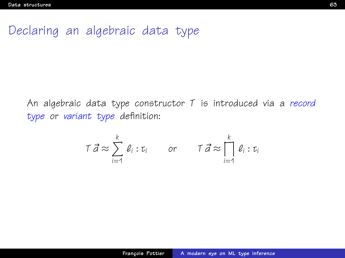### Declaring an algebraic data type

An algebraic data type constructor T is introduced via a record type or variant type definition:

$$
T\vec{a} \approx \sum_{i=1}^{k} \ell_i : \tau_i \quad \text{or} \quad T\vec{a} \approx \prod_{i=1}^{k} \ell_i : \tau_i
$$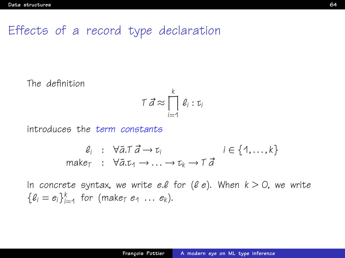# Effects of a record type declaration

The definition  $T \vec{a} \approx \prod^k$ i=1 introduces the term constants

> $\ell_i$  :  $\forall \bar{a} \in \mathcal{A} \rightarrow \tau_i$   $i \in \{1, ..., k\}$ maker :  $\forall \bar{a}. \tau_1 \rightarrow \ldots \rightarrow \tau_k \rightarrow \tau \vec{a}$

 $\ell_i$  :  $\tau_i$ 

In concrete syntax, we write e.l for  $(\ell e)$ . When  $k > 0$ , we write  $\{\ell_i = e_i\}_{i=1}^k$  for (make<sub>T</sub>  $e_1$  ...  $e_k$ ).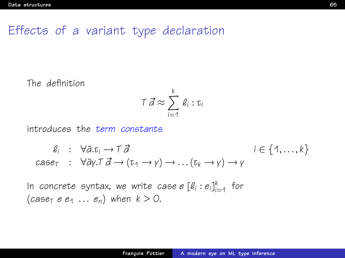## Effects of a variant type declaration

The definition

$$
\mathsf{T}\vec{a}\approx\sum_{i=1}^k\ell_i:\tau_i
$$

introduces the term constants

$$
\begin{array}{ll}\n\ell_i & \colon \forall \bar{a}.\tau_i \to \tau \, \vec{a} \\
\text{case}_{\tau} & \colon \forall \bar{a} \gamma \tau \, \vec{a} \to (\tau_1 \to \gamma) \to \dots (\tau_k \to \gamma) \to \gamma \\
\end{array}
$$
\n $i \in \{1, \dots, k\}$ 

In concrete syntax, we write case  $e \ [\ell_i : e_i]_{i=1}^k$  for (case<sub>T</sub> e e<sub>1</sub> ...  $e_n$ ) when  $k > 0$ .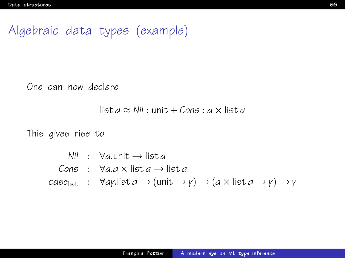# Algebraic data types (example)

One can now declare

```
list a \approx Nil \cdot unit + Cons \cdot a \times list a
```
This gives rise to

Nil :  $\forall$ a.unit  $\rightarrow$  list a Cons :  $\forall a.a \times \text{list } a \rightarrow \text{list } a$ case<sub>list</sub> :  $\forall a \gamma$ .list  $a \rightarrow (unit \rightarrow \gamma) \rightarrow (a \times list a \rightarrow \gamma) \rightarrow \gamma$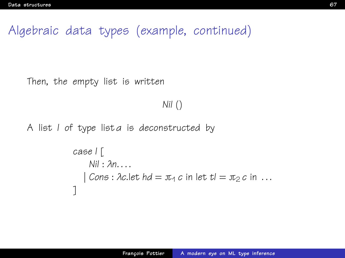# Algebraic data types (example, continued)

Then, the empty list is written

Nil ()

A list I of type list a is deconstructed by

```
case l [
     Nil : \lambda n...
   | Cons : \lambda c.let hd = \pi_1 c in let tl = \pi_2 c in ...
]
```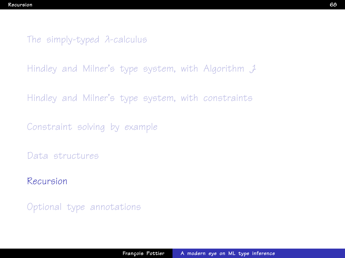#### [The simply-typed](#page-8-0) λ-calculus

[Hindley and Milner's type system, with Algorithm](#page-19-0)  $J$ 

[Hindley and Milner's type system, with constraints](#page-31-0)

[Constraint solving by example](#page-40-0)

[Data structures](#page-54-0)

[Recursion](#page-67-0)

<span id="page-67-0"></span>[Optional type annotations](#page-76-0)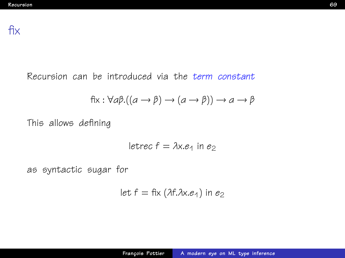Recursion can be introduced via the term constant

$$
fix: \forall a\beta.((a \rightarrow \beta) \rightarrow (a \rightarrow \beta)) \rightarrow a \rightarrow \beta
$$

This allows defining

letrec  $f = \lambda x.e_1$  in  $e_2$ 

as syntactic sugar for

let  $f = f$ ix ( $\lambda f \cdot \lambda x \cdot e_1$ ) in  $e_2$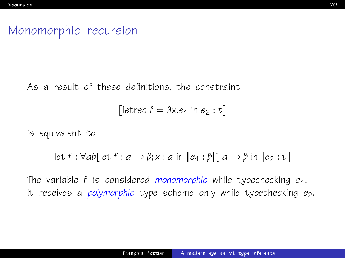## Monomorphic recursion

As a result of these definitions, the constraint

 $\lbrack\lbrack$ letrec  $f = \lambda x.e_1$  in  $e_2 : \tau \rbrack$ 

is equivalent to

$$
\text{let } f: \forall a \beta [\text{let } f: a \rightarrow \beta; x: a \text{ in } [[e_1 : \beta]]]. a \rightarrow \beta \text{ in } [[e_2 : \tau]]
$$

The variable f is considered monomorphic while typechecking  $e_1$ . It receives a polymorphic type scheme only while typechecking  $e_2$ .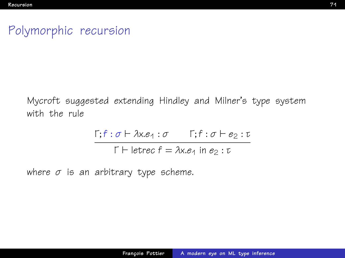## Polymorphic recursion

Mycroft suggested extending Hindley and Milner's type system with the rule

$$
\frac{\Gamma; f: \sigma \vdash \lambda x.e_1 : \sigma \qquad \Gamma; f: \sigma \vdash e_2 : \tau}{\Gamma \vdash \text{letrec } f = \lambda x.e_1 \text{ in } e_2 : \tau}
$$

where  $\sigma$  is an arbitrary type scheme.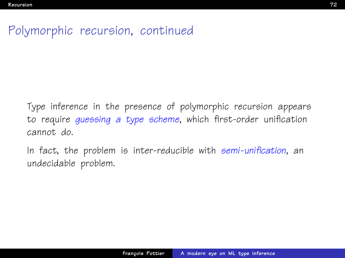# Polymorphic recursion, continued

Type inference in the presence of polymorphic recursion appears to require quessing a type scheme, which first-order unification cannot do.

In fact, the problem is inter-reducible with semi-unification, an undecidable problem.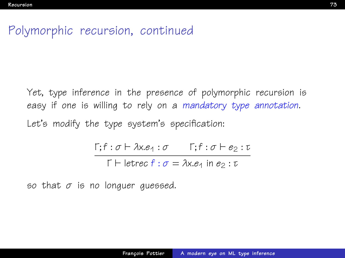## Polymorphic recursion, continued

Yet, type inference in the presence of polymorphic recursion is easy if one is willing to rely on a mandatory type annotation. Let's modify the type system's specification:

$$
\frac{\Gamma; f : \sigma \vdash \lambda x.e_1 : \sigma \qquad \Gamma; f : \sigma \vdash e_2 : \tau}{\Gamma \vdash \text{letrec } f : \sigma = \lambda x.e_1 \text{ in } e_2 : \tau}
$$

so that  $\sigma$  is no longuer guessed.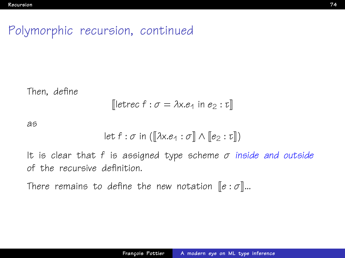## Polymorphic recursion, continued

Then, define

[letrec 
$$
f : \sigma = \lambda x.e_1
$$
 in  $e_2 : \tau$ ]

as

$$
\mathsf{let}\;f:\sigma\;\mathsf{in}\;([\![\lambda x.e_1:\sigma]\!]\wedge[\![e_2:\tau]\!])
$$

It is clear that f is assigned type scheme  $\sigma$  inside and outside of the recursive definition.

There remains to define the new notation  $\llbracket e : \sigma \rrbracket$ ...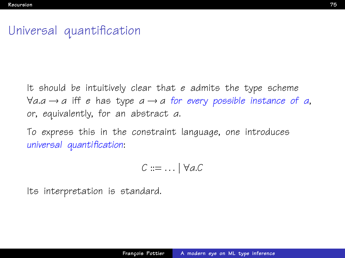## Universal quantification

It should be intuitively clear that  $e$  admits the type scheme  $\forall a.a \rightarrow a$  iff e has type  $a \rightarrow a$  for every possible instance of a, or, equivalently, for an abstract α.

To express this in the constraint language, one introduces universal quantification:

 $C ::= \ldots \mid \forall a.C$ 

Its interpretation is standard.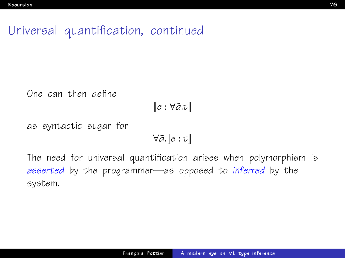# Universal quantification, continued

One can then define

$$
[\![e:\forall\bar{a}.\tau]\!]
$$

as syntactic sugar for

 $\forall \bar{a}.$   $\llbracket e : \tau \rrbracket$ 

The need for universal quantification arises when polymorphism is asserted by the programmer—as opposed to inferred by the system.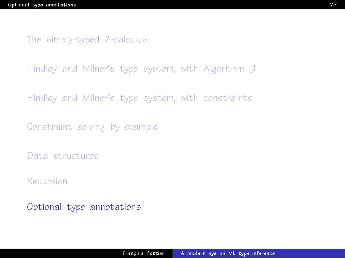#### [The simply-typed](#page-8-0) λ-calculus

[Hindley and Milner's type system, with Algorithm](#page-19-0)  $J$ 

[Hindley and Milner's type system, with constraints](#page-31-0)

[Constraint solving by example](#page-40-0)

[Data structures](#page-54-0)

[Recursion](#page-67-0)

<span id="page-76-0"></span>[Optional type annotations](#page-76-0)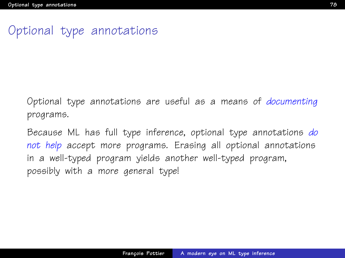## Optional type annotations

Optional type annotations are useful as a means of documenting programs.

Because ML has full type inference, optional type annotations do not help accept more programs. Erasing all optional annotations in a well-typed program yields another well-typed program, possibly with a more general type!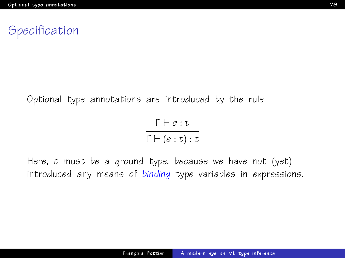# **Specification**

Optional type annotations are introduced by the rule

 $\Gamma \vdash e : \tau$  $\Gamma \vdash (e : \tau) : \tau$ 

Here,  $\tau$  must be a ground type, because we have not (yet) introduced any means of binding type variables in expressions.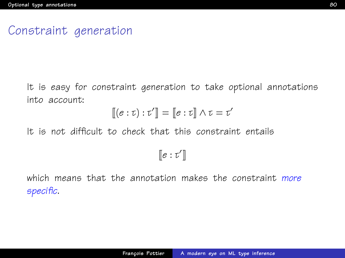### Constraint generation

It is easy for constraint generation to take optional annotations into account:

$$
[[e:\tau):\tau'] = [e:\tau] \wedge \tau = \tau'
$$

It is not difficult to check that this constraint entails

 $[e:\tau']$ l<br>I

which means that the annotation makes the constraint more specific.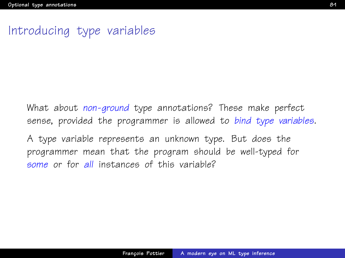## Introducing type variables

What about non-ground type annotations? These make perfect sense, provided the programmer is allowed to bind type variables.

A type variable represents an unknown type. But does the programmer mean that the program should be well-typed for some or for all instances of this variable?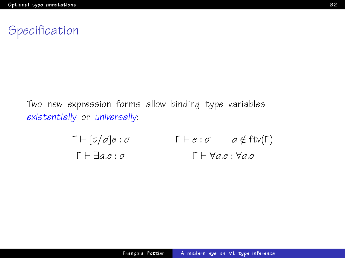## **Specification**

Two new expression forms allow binding type variables existentially or universally:

$$
\frac{\Gamma \vdash [\tau/a]e : \sigma}{\Gamma \vdash \exists a.e. \sigma} \qquad \frac{\Gamma \vdash e : \sigma \qquad a \notin \text{ftv}(\Gamma)}{\Gamma \vdash \forall a.e. \forall a.\sigma}
$$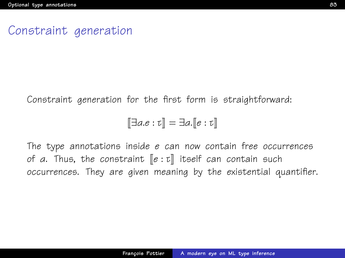### Constraint generation

Constraint generation for the first form is straightforward:

$$
[\exists a.e : \tau] = \exists a. [e : \tau]
$$

The type annotations inside e can now contain free occurrences of a. Thus, the constraint  $\llbracket e : \tau \rrbracket$  itself can contain such occurrences. They are given meaning by the existential quantifier.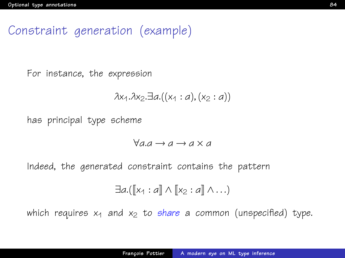## Constraint generation (example)

For instance, the expression

$$
\lambda x_1.\lambda x_2.\exists a.((x_1:a),(x_2:a))
$$

has principal type scheme

$$
\forall a.a \rightarrow a \rightarrow a \times a
$$

Indeed, the generated constraint contains the pattern

$$
\exists a.([\![x_1:a]\!]\wedge [\![x_2:a]\!]\wedge \ldots)
$$

which requires  $x_1$  and  $x_2$  to share a common (unspecified) type.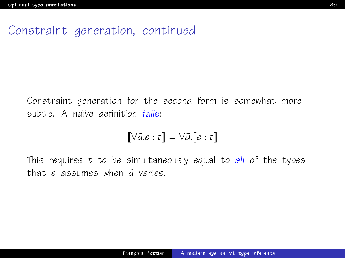## Constraint generation, continued

Constraint generation for the second form is somewhat more subtle. A naïve definition fails:

$$
[\![\forall \bar{a}.e:\tau]\!] = \forall \bar{a}.\llbracket e:\tau \rrbracket
$$

This requires  $\tau$  to be simultaneously equal to all of the types that e assumes when  $\bar{a}$  varies.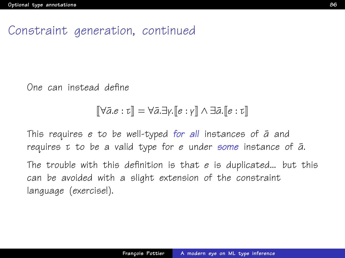## Constraint generation, continued

One can instead define

$$
\llbracket \forall \bar{a}.e : \tau \rrbracket = \forall \bar{a}.\exists \gamma. \llbracket e : \gamma \rrbracket \land \exists \bar{a}. \llbracket e : \tau \rrbracket
$$

This requires  $e$  to be well-typed for all instances of  $\bar{a}$  and requires  $\tau$  to be a valid type for e under some instance of  $\bar{a}$ . The trouble with this definition is that  $e$  is duplicated... but this can be avoided with a slight extension of the constraint language (exercise!).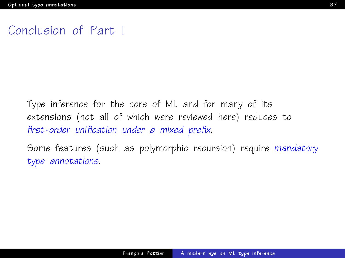## Conclusion of Part I

Type inference for the core of ML and for many of its extensions (not all of which were reviewed here) reduces to first-order unification under a mixed prefix.

Some features (such as polymorphic recursion) require mandatory type annotations.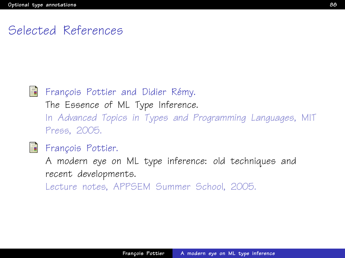## Selected References



François Pottier and Didier Rémy.

The Essence of ML Type Inference.

In Advanced Topics in Types and Programming Languages, MIT Press, 2005.



François Pottier.

[A modern eye on ML type inference: old techniques and](http://cristal.inria.fr/~fpottier/publis/fpottier-appsem-2005.pdf) [recent developments.](http://cristal.inria.fr/~fpottier/publis/fpottier-appsem-2005.pdf)

Lecture notes, APPSEM Summer School, 2005.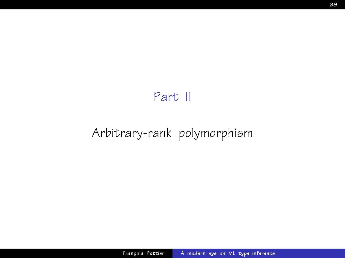## <span id="page-88-0"></span>Part II

# [Arbitrary-rank polymorphism](#page-88-0)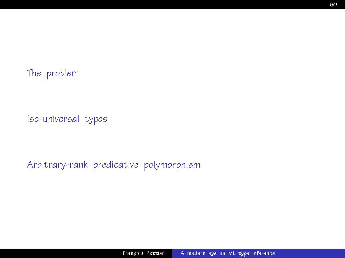[The problem](#page-90-0)

[Iso-universal types](#page-95-0)

[Arbitrary-rank predicative polymorphism](#page-103-0)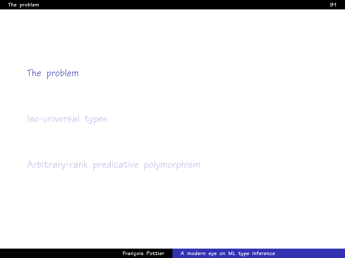[The problem](#page-90-0)

[Iso-universal types](#page-95-0)

<span id="page-90-0"></span>[Arbitrary-rank predicative polymorphism](#page-103-0)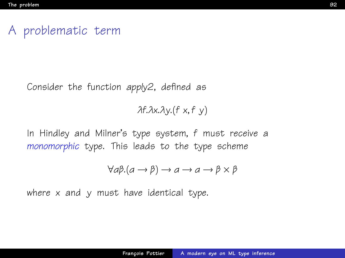## A problematic term

#### Consider the function apply2, defined as

 $\lambda f. \lambda x. \lambda y. (f x, f y)$ 

In Hindley and Milner's type system, f must receive a monomorphic type. This leads to the type scheme

$$
\forall a\beta. (a \rightarrow \beta) \rightarrow a \rightarrow a \rightarrow \beta \times \beta
$$

where x and y must have identical type.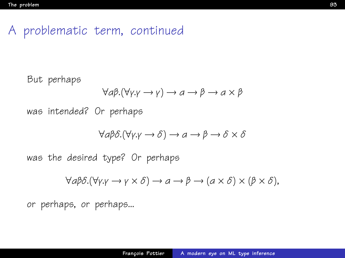# A problematic term, continued

But perhaps  
\n
$$
\forall a\beta.(\forall \gamma. \gamma \rightarrow \gamma) \rightarrow a \rightarrow \beta \rightarrow a \times \beta
$$

was intended? Or perhaps

$$
\forall a\beta\delta.(\forall \gamma.\gamma \rightarrow \delta) \rightarrow a \rightarrow \beta \rightarrow \delta \times \delta
$$

was the desired type? Or perhaps

$$
\forall a \beta \delta. (\forall \gamma. \gamma \rightarrow \gamma \times \delta) \rightarrow a \rightarrow \beta \rightarrow (a \times \delta) \times (\beta \times \delta),
$$

or perhaps, or perhaps...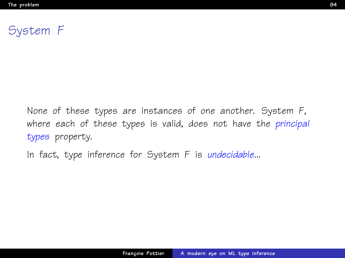## System F

None of these types are instances of one another. System F, where each of these types is valid, does not have the principal types property.

In fact, type inference for  $S$ ystem  $F$  is undecidable...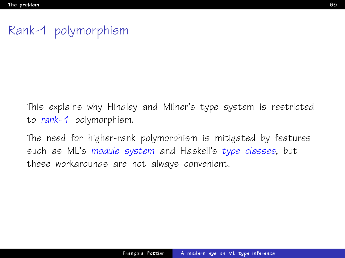# Rank-1 polymorphism

This explains why Hindley and Milner's type system is restricted to rank-1 polymorphism.

The need for higher-rank polymorphism is mitigated by features such as ML's module system and Haskell's type classes, but these workarounds are not always convenient.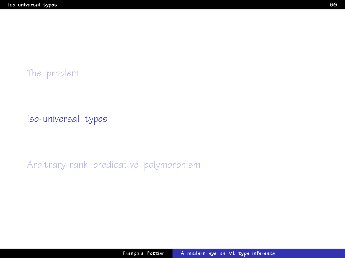[The problem](#page-90-0)

[Iso-universal types](#page-95-0)

<span id="page-95-0"></span>[Arbitrary-rank predicative polymorphism](#page-103-0)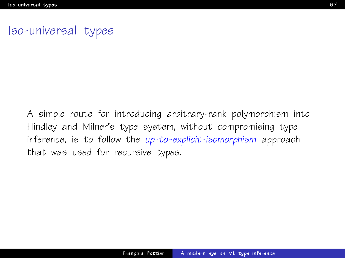## Iso-universal types

A simple route for introducing arbitrary-rank polymorphism into Hindley and Milner's type system, without compromising type inference, is to follow the up-to-explicit-isomorphism approach that was used for recursive types.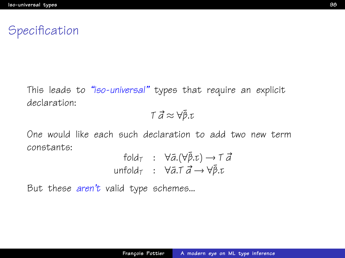# **Specification**

This leads to "iso-universal" types that require an explicit declaration:

 $T \vec{a} \approx \forall \vec{b} . \tau$ 

One would like each such declaration to add two new term constants:

fold $\tau$  :  $\forall \bar{a}. (\forall \bar{\beta}. \tau) \rightarrow \tau \, \vec{a}$ unfold $\tau$  :  $\forall \bar{a} \cdot \overrightarrow{a} \rightarrow \forall \bar{b} \cdot \tau$ 

But these aren't valid type schemes...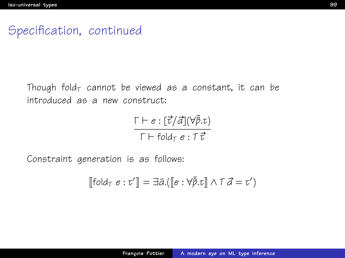## Specification, continued

Though fold $<sub>T</sub>$  cannot be viewed as a constant, it can be</sub> introduced as a new construct:

$$
\frac{\Gamma \vdash e : [\vec{\tau}/\vec{a}](\forall \vec{\beta}. \tau)}{\Gamma \vdash \text{fold}_{\tau} e : \tau \vec{\tau}}
$$

Constraint generation is as follows:

$$
[\![\text{fold}_{\mathcal{T}} \ e : \tau']\!] = \exists \bar{a}.([\![e : \forall \bar{\beta}.\tau]\!]\land \mathcal{T} \ \bar{d} = \tau')
$$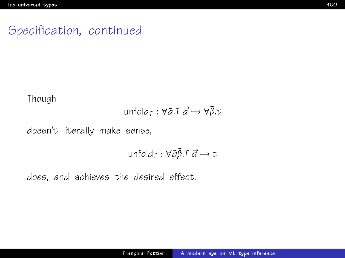## Specification, continued

Though

$$
\text{unfold}_{\mathcal{T}}: \forall \bar{a}.T \; \vec{d} \rightarrow \forall \bar{\beta}. \tau
$$

doesn't literally make sense,

 $unfold_\tau : \forall \bar{a}\bar{\beta}$ .T  $\vec{a} \rightarrow \tau$ 

does, and achieves the desired effect.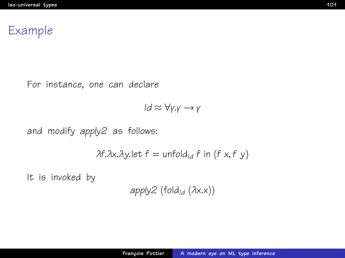#### For instance, one can declare

$$
Id \approx \forall \gamma.\gamma \rightarrow \gamma
$$

and modify apply2 as follows:

$$
\lambda f. \lambda x. \lambda y. let f = \text{unfold}_{\text{Id}} f \text{ in } (f x, f y)
$$

It is invoked by

apply2 (foldId (λx.x))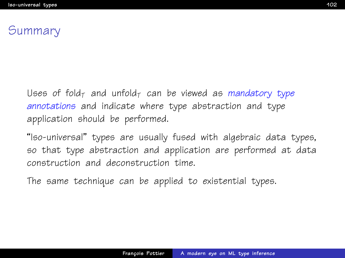## **Summary**

Uses of fold<sub>T</sub> and unfold<sub>T</sub> can be viewed as mandatory type annotations and indicate where type abstraction and type application should be performed.

"Iso-universal" types are usually fused with algebraic data types, so that type abstraction and application are performed at data construction and deconstruction time.

The same technique can be applied to existential types.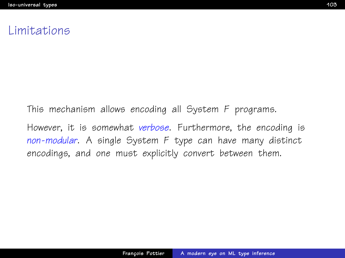#### Limitations

This mechanism allows encoding all System F programs.

However, it is somewhat verbose. Furthermore, the encoding is non-modular. A single System F type can have many distinct encodings, and one must explicitly convert between them.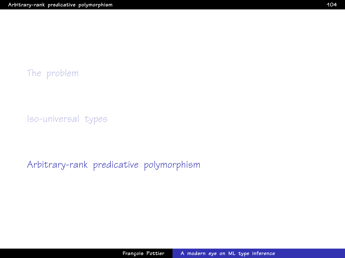[The problem](#page-90-0)

[Iso-universal types](#page-95-0)

<span id="page-103-0"></span>[Arbitrary-rank predicative polymorphism](#page-103-0)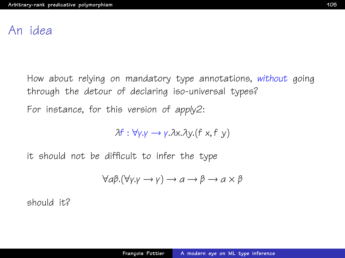## An idea

How about relying on mandatory type annotations, without going through the detour of declaring iso-universal types? For instance, for this version of  $apply2$ :

 $\lambda f : \forall y. y \rightarrow y. \lambda x. \lambda y. (f x, f y)$ 

it should not be difficult to infer the type

$$
\forall a\beta.(\forall \gamma. \gamma \rightarrow \gamma) \rightarrow a \rightarrow \beta \rightarrow a \times \beta
$$

should it?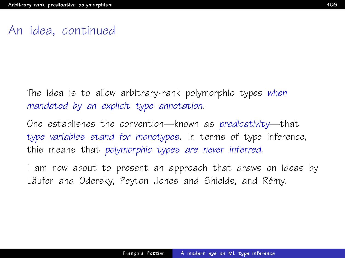# An idea, continued

The idea is to allow arbitrary-rank polymorphic types when mandated by an explicit type annotation.

One establishes the convention—known as predicativity—that type variables stand for monotypes. In terms of type inference, this means that polymorphic types are never inferred.

I am now about to present an approach that draws on ideas by Läufer and Odersky, Peyton Jones and Shields, and Rémy.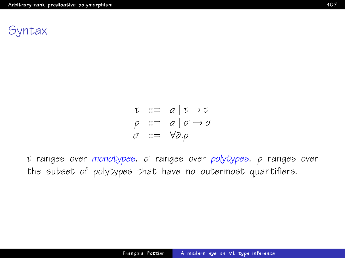**Syntax** 

 $\tau$  :=  $a | \tau \rightarrow \tau$  $\rho ::= a \mid \sigma \rightarrow \sigma$  $σ ::= \forall \bar{a}.\rho$ 

τ ranges over monotypes. σ ranges over polytypes. ρ ranges over the subset of polytypes that have no outermost quantifiers.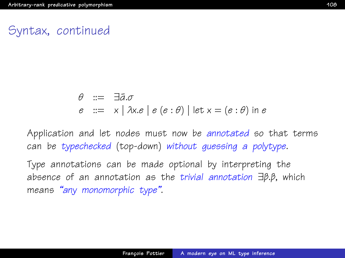## Syntax, continued

$$
\theta ::= \exists \bar{a}.\sigma
$$
  

$$
e ::= x | \lambda x.e | e(e:\theta) | let x = (e:\theta) in e
$$

Application and let nodes must now be annotated so that terms can be typechecked (top-down) without guessing a polytype.

Type annotations can be made optional by interpreting the absence of an annotation as the trivial annotation  $\exists \beta$ . $\beta$ , which means "any monomorphic type".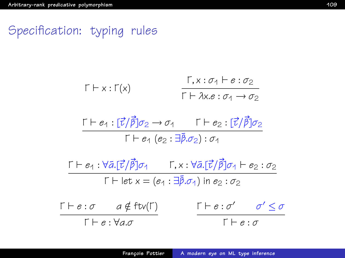# Specification: typing rules

$$
\Gamma \vdash x : \Gamma(x) \qquad \qquad \frac{\Gamma, x : \sigma_1 \vdash e : \sigma_2}{\Gamma \vdash \lambda x. e : \sigma_1 \rightarrow \sigma_2}
$$

$$
\frac{\Gamma \vdash e_1 : [\vec{t}/\vec{\beta}]\sigma_2 \rightarrow \sigma_1 \qquad \Gamma \vdash e_2 : [\vec{t}/\vec{\beta}]\sigma_2}{\Gamma \vdash e_1 \ (e_2 : \exists \vec{\beta}.\sigma_2) : \sigma_1}
$$

$$
\frac{\Gamma \vdash e_1 : \forall \vec{a}.[\vec{t}/\vec{\beta}]\sigma_1 \qquad \Gamma, x : \forall \vec{a}.[\vec{t}/\vec{\beta}]\sigma_1 \vdash e_2 : \sigma_2}{\Gamma \vdash \text{let } x = (e_1 : \exists \vec{\beta}. \sigma_1) \text{ in } e_2 : \sigma_2}
$$

$$
\frac{\Gamma \vdash e : \sigma \qquad a \notin \text{ftv}(\Gamma)}{\Gamma \vdash e : \forall a.\sigma} \qquad \frac{\Gamma \vdash e : \sigma' \qquad \sigma' \leq \sigma}{\Gamma \vdash e : \sigma}
$$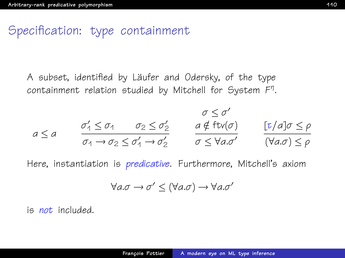#### Specification: type containment

A subset, identified by Läufer and Odersky, of the type containment relation studied by Mitchell for System F<sup>n</sup>.

$$
a \le a \qquad \begin{array}{ccc}\n\sigma \le \sigma' & \sigma \le \sigma' \\
\sigma_1 \le \sigma_1 & \sigma_2 \le \sigma_2' \\
\sigma_2 \le \sigma_1' \to \sigma_2' & \sigma \le \forall a.\sigma'\n\end{array} \qquad \begin{array}{ccc}\n\sigma \le \sigma' & \text{[t/a]}\sigma \le \rho \\
\sigma \le \forall a.\sigma' & \text{[t/a]}\sigma \le \rho \\
\sigma \le \forall a.\sigma' & \text{[t/a]}\sigma \le \rho\n\end{array}
$$

Here, instantiation is predicative. Furthermore, Mitchell's axiom

$$
\forall a.\sigma \rightarrow \sigma' \leq (\forall a.\sigma) \rightarrow \forall a.\sigma'
$$

is not included.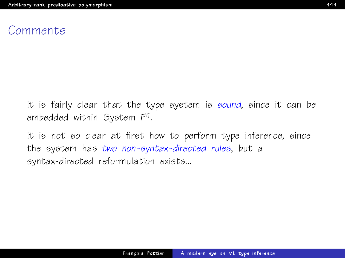#### Comments

It is fairly clear that the type system is sound, since it can be embedded within System F<sup>n</sup>.

It is not so clear at first how to perform type inference, since the system has two non-syntax-directed rules, but a syntax-directed reformulation exists...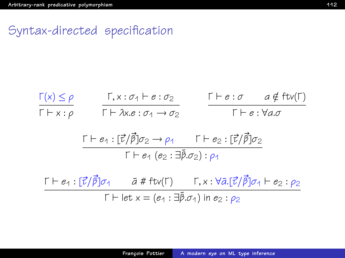## Syntax-directed specification

$$
\frac{\Gamma(x) \le \rho}{\Gamma \vdash x : \rho} \qquad \frac{\Gamma, x : \sigma_1 \vdash e : \sigma_2}{\Gamma \vdash \lambda x . e : \sigma_1 \rightarrow \sigma_2} \qquad \frac{\Gamma \vdash e : \sigma \qquad a \notin \text{ftv}(\Gamma)}{\Gamma \vdash e : \forall a . \sigma}
$$

$$
\frac{\Gamma \vdash e_1 : [\vec{t}/\vec{\beta}]\sigma_2 \rightarrow \rho_1 \qquad \Gamma \vdash e_2 : [\vec{t}/\vec{\beta}]\sigma_2}{\Gamma \vdash e_1 (e_2 : \exists \vec{\beta}.\sigma_2) : \rho_1}
$$

$$
\frac{\Gamma \vdash e_1 : [\vec{t}/\vec{\beta}]\sigma_1 \qquad \vec{a} \# \text{ftv}(\Gamma) \qquad \Gamma, x : \forall \vec{a}. [\vec{t}/\vec{\beta}]\sigma_1 \vdash e_2 : \rho_2}{\Gamma \vdash \text{let } x = (e_1 : \exists \vec{\beta}. \sigma_1) \text{ in } e_2 : \rho_2}
$$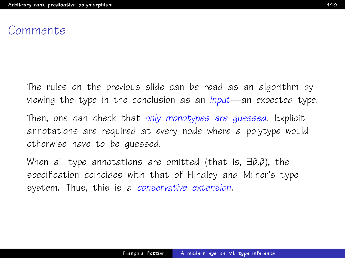#### Comments

The rules on the previous slide can be read as an algorithm by viewing the type in the conclusion as an input—an expected type. Then, one can check that only monotypes are quessed. Explicit annotations are required at every node where a polytype would otherwise have to be guessed.

When all type annotations are omitted (that is,  $\exists \beta \beta$ ), the specification coincides with that of Hindley and Milner's type system. Thus, this is a conservative extension.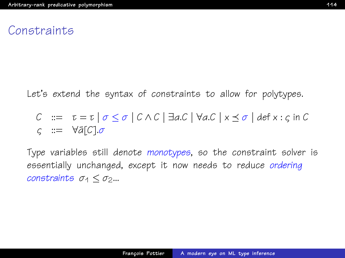#### **Congtraints**

Let's extend the syntax of constraints to allow for polytypes.

$$
C ::= \tau = \tau \mid \sigma \leq \sigma \mid C \wedge C \mid \exists a.C \mid \forall a.C \mid x \leq \sigma \mid \text{def } x : \varsigma \text{ in } C
$$
  

$$
\varsigma ::= \forall \bar{a}[C].\sigma
$$

Type variables still denote monotypes, so the constraint solver is essentially unchanged, except it now needs to reduce ordering  $constants \, \sigma_1 \leq \sigma_2$ ...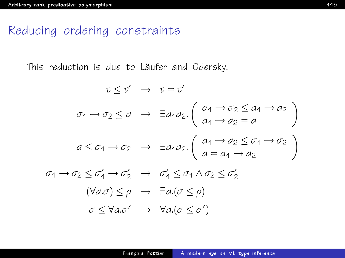#### Reducing ordering constraints

This reduction is due to Läufer and Odersky.

$$
\tau \leq \tau' \rightarrow \tau = \tau'
$$
  
\n
$$
\sigma_1 \rightarrow \sigma_2 \leq a \rightarrow \exists a_1 a_2. \begin{pmatrix} \sigma_1 \rightarrow \sigma_2 \leq a_1 \rightarrow a_2 \\ a_1 \rightarrow a_2 = a \end{pmatrix}
$$
  
\n
$$
a \leq \sigma_1 \rightarrow \sigma_2 \rightarrow \exists a_1 a_2. \begin{pmatrix} a_1 \rightarrow a_2 \leq \sigma_1 \rightarrow \sigma_2 \\ a = a_1 \rightarrow a_2 \end{pmatrix}
$$
  
\n
$$
\sigma_1 \rightarrow \sigma_2 \leq \sigma'_1 \rightarrow \sigma'_2 \rightarrow \sigma'_1 \leq \sigma_1 \land \sigma_2 \leq \sigma'_2
$$
  
\n
$$
(\forall a.\sigma) \leq \rho \rightarrow \exists a. (\sigma \leq \rho)
$$
  
\n
$$
\sigma \leq \forall a. \sigma' \rightarrow \forall a. (\sigma \leq \sigma')
$$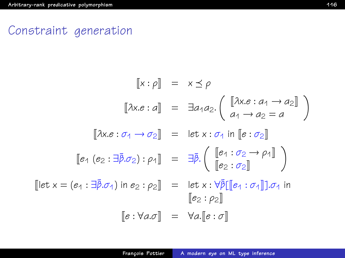#### Constraint generation

$$
\begin{aligned}\n\llbracket x : \rho \rrbracket &= x \le \rho \\
\llbracket \lambda x . e : a \rrbracket &= \exists a_1 a_2. \left( \begin{array}{c} \llbracket \lambda x . e : a_1 \rightarrow a_2 \rrbracket \\ a_1 \rightarrow a_2 = a \end{array} \right) \\
\llbracket \lambda x . e : \sigma_1 \rightarrow \sigma_2 \rrbracket &= let x : \sigma_1 \text{ in } \llbracket e : \sigma_2 \rrbracket \\
\llbracket e_1 (e_2 : \exists \bar{p} . \sigma_2) : \rho_1 \rrbracket &= \exists \bar{p}. \left( \begin{array}{c} \llbracket e_1 : \sigma_2 \rightarrow \rho_1 \rrbracket \\ \llbracket e_2 : \sigma_2 \rrbracket \end{array} \right) \\
\llbracket \llbracket \text{let } x = (e_1 : \exists \bar{p} . \sigma_1) \text{ in } e_2 : \rho_2 \rrbracket &= let x : \forall \bar{p} \llbracket [e_1 : \sigma_1 \rrbracket] . \sigma_1 \text{ in } \llbracket e_2 : \rho_2 \rrbracket \\
\llbracket e : \forall a . \sigma \rrbracket &= \forall a . \llbracket e : \sigma \rrbracket\n\end{aligned}
$$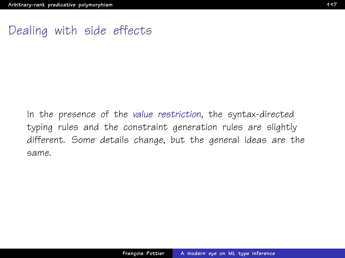#### Dealing with side effects

In the presence of the value restriction, the syntax-directed typing rules and the constraint generation rules are slightly different. Some details change, but the general ideas are the same.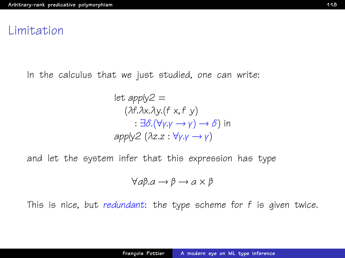#### Limitation

In the calculus that we just studied, one can write:

<span id="page-117-0"></span>let apply2 =  
\n
$$
(\lambda f. \lambda x. \lambda y. (f x, f y)
$$
\n
$$
: \exists \delta. (\forall y. \gamma \rightarrow \gamma) \rightarrow \delta) \text{ in}
$$
\n
$$
apply2 (\lambda z. z : \forall y. \gamma \rightarrow \gamma)
$$

and let the system infer that this expression has type

$$
\forall a\beta.a \rightarrow \beta \rightarrow a \times \beta
$$

This is nice, but redundant: the type scheme for f is given twice.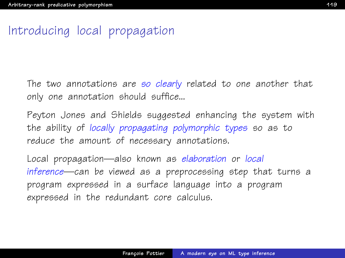### Introducing local propagation

The two annotations are so clearly related to one another that only one annotation should suffice...

Peyton Jones and Shields suggested enhancing the system with the ability of locally propagating polymorphic types so as to reduce the amount of necessary annotations.

Local propagation—also known as elaboration or local inference—can be viewed as a preprocessing step that turns a program expressed in a surface language into a program expressed in the redundant core calculus.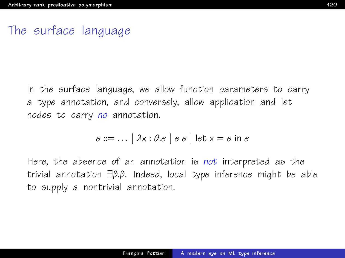#### The surface language

In the surface language, we allow function parameters to carry a type annotation, and conversely, allow application and let nodes to carry no annotation.

$$
e ::= \dots | \lambda x : \theta.e \mid e e \mid \text{let } x = e \text{ in } e
$$

Here, the absence of an annotation is not interpreted as the trivial annotation ∃β.β. Indeed, local type inference might be able to supply a nontrivial annotation.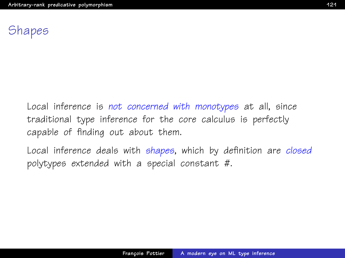## **Shapes**

Local inference is not concerned with monotypes at all, since traditional type inference for the core calculus is perfectly capable of finding out about them.

Local inference deals with shapes, which by definition are closed polytypes extended with a special constant #.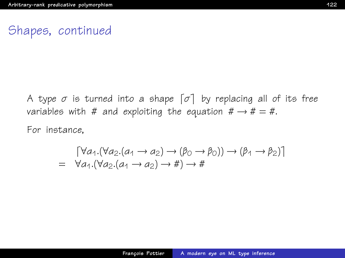## Shapes, continued

A type  $\sigma$  is turned into a shape  $\lceil \sigma \rceil$  by replacing all of its free variables with # and exploiting the equation  $# \rightarrow # = #$ . For instance,

$$
\begin{aligned} [\forall a_1.(\forall a_2.(a_1 \rightarrow a_2) \rightarrow (\beta_0 \rightarrow \beta_0)) \rightarrow (\beta_1 \rightarrow \beta_2)] \\ = \forall a_1.(\forall a_2.(a_1 \rightarrow a_2) \rightarrow \#) \rightarrow \# \end{aligned}
$$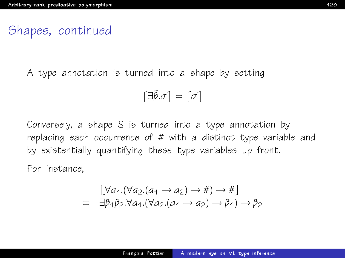### Shapes, continued

A type annotation is turned into a shape by setting

$$
\lceil \exists \bar{\beta} . \sigma \rceil = \lceil \sigma \rceil
$$

Conversely, a shape S is turned into a type annotation by replacing each occurrence of # with a distinct type variable and by existentially quantifying these type variables up front. For instance,

$$
\begin{bmatrix}\n\forall a_1.(\forall a_2.(a_1 \rightarrow a_2) \rightarrow \#) \rightarrow \# \\
= \exists \beta_1 \beta_2. \forall a_1.(\forall a_2.(a_1 \rightarrow a_2) \rightarrow \beta_1) \rightarrow \beta_2\n\end{bmatrix}
$$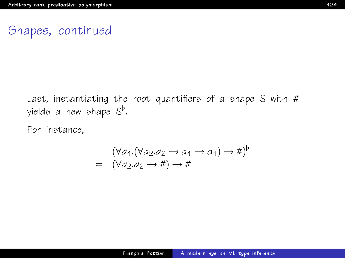## Shapes, continued

Last, instantiating the root quantifiers of a shape S with  $#$ yields a new shape  $\mathcal{S}^{\flat}.$ 

For instance,

$$
(\forall a_1.(\forall a_2. a_2 \rightarrow a_1 \rightarrow a_1) \rightarrow \#)^{\flat}
$$
  
= 
$$
(\forall a_2. a_2 \rightarrow \#) \rightarrow \#
$$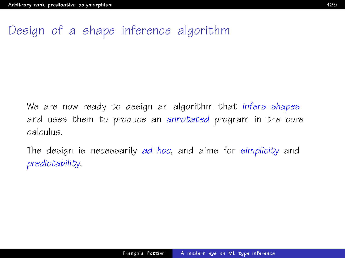### Design of a shape inference algorithm

We are now ready to design an algorithm that infers shapes and uses them to produce an annotated program in the core calculus.

The design is necessarily ad hoc, and aims for simplicity and predictability.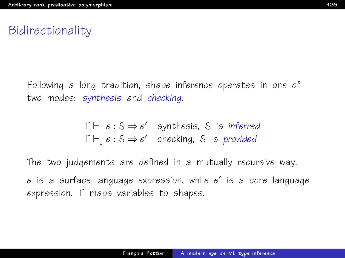#### Bidirectionality

Following a long tradition, shape inference operates in one of two modes: synthesis and checking.

$$
\Gamma \vdash_{\uparrow} e : S \Rightarrow e'
$$
 synthesis, S is inferred  
 $\Gamma \vdash_{\downarrow} e : S \Rightarrow e'$  checking, S is provided

The two judgements are defined in a mutually recursive way.

 $e$  is a surface language expression, while  $e'$  is a core language expression. Γ maps variables to shapes.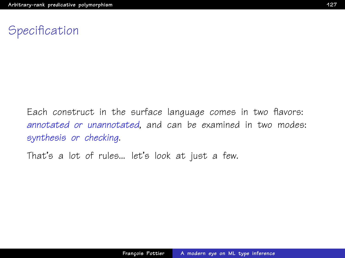## **Specification**

Each construct in the surface language comes in two flavors: annotated or unannotated, and can be examined in two modes: synthesis or checking.

That's a lot of rules... let's look at just a few.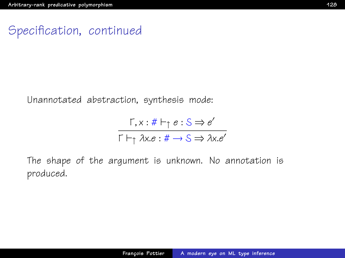Unannotated abstraction, synthesis mode:

$$
\frac{\Gamma, x: \# \vdash_{\uparrow} e: \mathsf{S} \Rightarrow e'}{\Gamma \vdash_{\uparrow} \lambda x. e: \# \rightarrow \mathsf{S} \Rightarrow \lambda x. e'}
$$

The shape of the argument is unknown. No annotation is produced.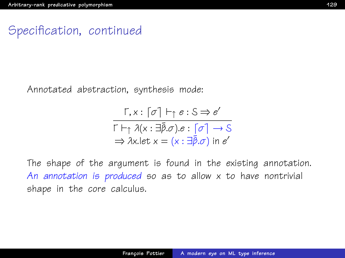Annotated abstraction, synthesis mode:

$$
\Gamma, x: [\sigma] \vdash_{\uparrow} e: S \Rightarrow e'
$$
  

$$
\Gamma \vdash_{\uparrow} \lambda(x: \exists \bar{\beta}.\sigma).e: [\sigma] \rightarrow S
$$
  

$$
\Rightarrow \lambda x.let x = (x: \exists \bar{\beta}.\sigma) in e'
$$

The shape of the argument is found in the existing annotation. An annotation is produced so as to allow x to have nontrivial shape in the core calculus.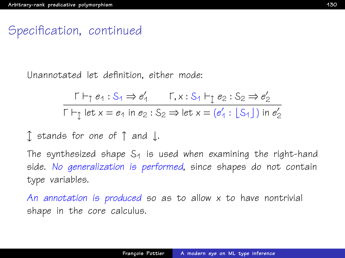Unannotated let definition, either mode:

$$
\frac{\Gamma \vdash_{\uparrow} e_1 : S_1 \Rightarrow e'_1 \qquad \Gamma, x : S_1 \vdash_{\downarrow} e_2 : S_2 \Rightarrow e'_2}{\Gamma \vdash_{\uparrow} \text{let } x = e_1 \text{ in } e_2 : S_2 \Rightarrow \text{let } x = (e'_1 : \lfloor S_1 \rfloor) \text{ in } e'_2}
$$

l stands for one of ↑ and ↓.

The synthesized shape  $S_1$  is used when examining the right-hand side. No generalization is performed, since shapes do not contain type variables.

An annotation is produced so as to allow x to have nontrivial shape in the core calculus.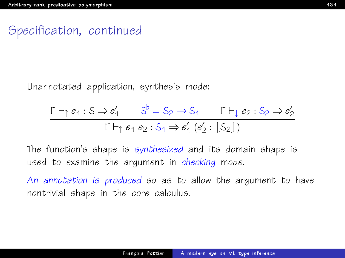#### Unannotated application, synthesis mode:

$$
\frac{\Gamma \vdash_{\uparrow} e_1 : S \Rightarrow e'_1 \qquad S^{\flat} = S_2 \rightarrow S_1 \qquad \Gamma \vdash_{\downarrow} e_2 : S_2 \Rightarrow e'_2}{\Gamma \vdash_{\uparrow} e_1 e_2 : S_1 \Rightarrow e'_1 (e'_2 : [S_2])}
$$

The function's shape is synthesized and its domain shape is used to examine the argument in *checking* mode.

An annotation is produced so as to allow the argument to have nontrivial shape in the core calculus.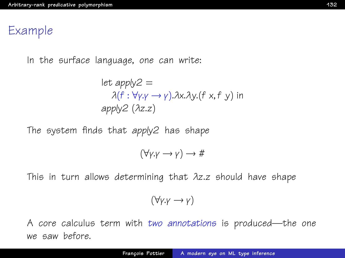### Example

In the surface language, one can write:

let apply2 =  
\n
$$
\lambda(f : \forall y. y \rightarrow y). \lambda x. \lambda y.(f x, f y) in
$$
  
\napply2 (λz.z)

The system finds that apply2 has shape

$$
(\forall \gamma.\gamma \longrightarrow \gamma) \longrightarrow \#
$$

This in turn allows determining that  $\lambda z$  should have shape

$$
(\forall \gamma.\gamma \rightarrow \gamma)
$$

A core calculus term with two annotations is produced[—the one](#page-117-0) [we saw before.](#page-117-0)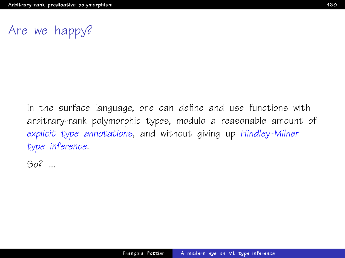## Are we happy?

In the surface language, one can define and use functions with arbitrary-rank polymorphic types, modulo a reasonable amount of explicit type annotations, and without giving up Hindley-Milner type inference.

 $50<sup>2</sup>$  ...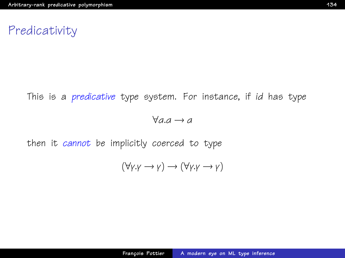#### Predicativity

This is a predicative type system. For instance, if id has type  $\forall a.a \rightarrow a$ 

then it cannot be implicitly coerced to type

 $(\forall v.\nu \rightarrow v) \rightarrow (\forall v.\nu \rightarrow v)$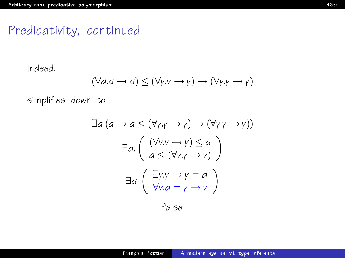### Predicativity, continued

Indeed,

$$
(\forall a.a \to a) \leq (\forall \gamma.\gamma \to \gamma) \to (\forall \gamma.\gamma \to \gamma)
$$

simplifies down to

$$
\exists a.(a \rightarrow a \leq (\forall Y \cdot Y \rightarrow Y) \rightarrow (\forall Y \cdot Y \rightarrow Y))
$$

$$
\exists a. \left( \begin{array}{c} (\forall Y \cdot Y \rightarrow Y) \leq a \\ a \leq (\forall Y \cdot Y \rightarrow Y) \end{array} \right)
$$

$$
\exists a. \left( \begin{array}{c} \exists Y \cdot Y \rightarrow Y = a \\ \forall Y \cdot a = Y \rightarrow Y \end{array} \right)
$$
false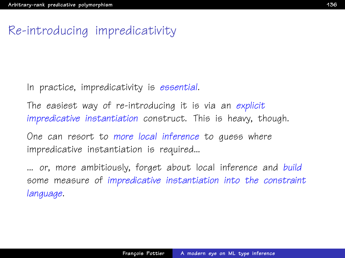### Re-introducing impredicativity

In practice, impredicativity is essential.

The easiest way of re-introducing it is via an explicit impredicative instantiation construct. This is heavy, though.

One can resort to more local inference to guess where impredicative instantiation is required...

... or, more ambitiously, forget about local inference and build some measure of impredicative instantiation into the constraint language.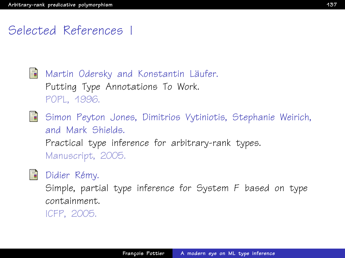### Selected References I

Martin Odersky and Konstantin Läufer. [Putting Type Annotations To Work.](http://lamp.epfl.ch/~odersky/papers/popl96.ps.gz) POPL, 1996.

Simon Peyton Jones, Dimitrios Vytiniotis, Stephanie Weirich, and Mark Shields. [Practical type inference for arbitrary-rank types.](http://research.microsoft.com/Users/simonpj/papers/higher-rank/putting.ps.gz) Manuscript, 2005.

#### Didier Rémy.

[Simple, partial type inference for System](http://pauillac.inria.fr/~remy/work/fml/fml-icfp.pdf) F based on type [containment.](http://pauillac.inria.fr/~remy/work/fml/fml-icfp.pdf)

ICFP, 2005.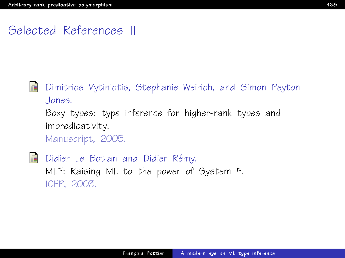## Selected References II



Dimitrios Vytiniotis, Stephanie Weirich, and Simon Peyton Jones.

[Boxy types: type inference for higher-rank types and](http://research.microsoft.com/Users/simonpj/papers/boxy/boxy.ps.gz) [impredicativity.](http://research.microsoft.com/Users/simonpj/papers/boxy/boxy.ps.gz)

Manuscript, 2005.



Didier Le Botlan and Didier Rémy. [MLF: Raising ML to the power of System](http://cristal.inria.fr/~remy/work/mlf/icfp.pdf) F. ICFP, 2003.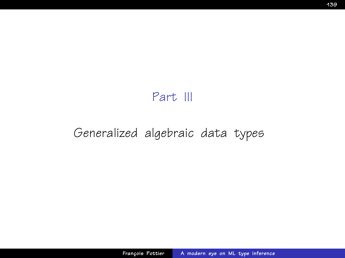#### <span id="page-138-0"></span>Part III

# [Generalized algebraic data types](#page-138-0)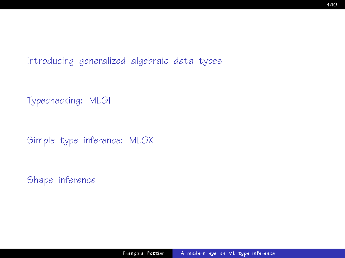[Introducing generalized algebraic data types](#page-140-0)

[Typechecking: MLGI](#page-159-0)

[Simple type inference: MLGX](#page-170-0)

[Shape inference](#page-179-0)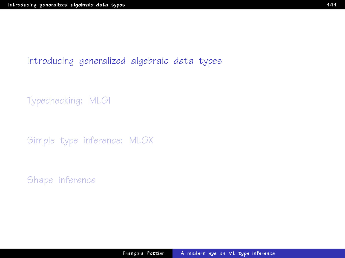#### [Introducing generalized algebraic data types](#page-140-0)

[Typechecking: MLGI](#page-159-0)

[Simple type inference: MLGX](#page-170-0)

<span id="page-140-0"></span>[Shape inference](#page-179-0)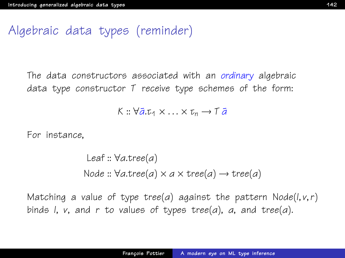### Algebraic data types (reminder)

The data constructors associated with an ordinary algebraic data type constructor T receive type schemes of the form:

 $K \cdot \forall \bar{a}$   $\tau_A \times \ldots \times \tau_n \rightarrow \tau \bar{a}$ 

For instance,

Leaf :: ∀α.tree(α) Node ::  $\forall a.\text{tree}(a) \times a \times \text{tree}(a) \rightarrow \text{tree}(a)$ 

Matching a value of type tree(a) against the pattern  $Node(I, v, r)$ binds l, v, and r to values of types tree(a), a, and tree(a).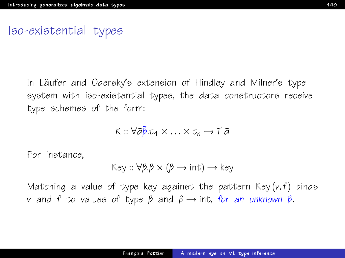#### Iso-existential types

In Läufer and Odersky's extension of Hindley and Milner's type system with iso-existential types, the data constructors receive type schemes of the form:

$$
K::\forall \bar{a}\bar{\beta}. \tau_1 \times \ldots \times \tau_n \to T \bar{a}
$$

For instance,

$$
\text{Key} :: \forall \beta. \beta \times (\beta \rightarrow \text{int}) \rightarrow \text{key}
$$

Matching a value of type key against the pattern Key  $(v, f)$  binds v and f to values of type  $\beta$  and  $\beta \rightarrow$  int, for an unknown  $\beta$ .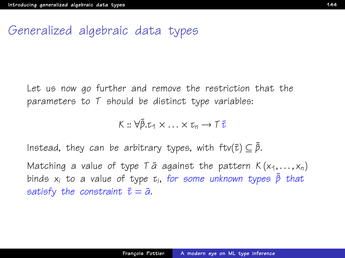#### Generalized algebraic data types

Let us now go further and remove the restriction that the parameters to T should be distinct type variables:

 $K :: \forall \bar{p}. \tau_1 \times ... \times \tau_n \rightarrow \tau \bar{\tau}$ 

Instead, they can be arbitrary types, with ftv $(\bar{t}) \subseteq \bar{\beta}$ .

Matching a value of type  $T\bar{a}$  against the pattern  $K (x_1, \ldots, x_n)$ binds  $x_i$  to a value of type  $\tau_i$ , for some unknown types  $\bar{\beta}$  that satisfy the constraint  $\bar{\tau} = \bar{a}$ .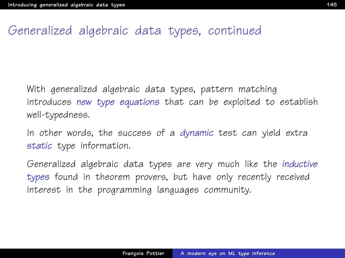# Generalized algebraic data types, continued

With generalized algebraic data types, pattern matching introduces new type equations that can be exploited to establish well-typedness.

In other words, the success of a dynamic test can yield extra static type information.

Generalized algebraic data types are very much like the inductive types found in theorem provers, but have only recently received interest in the programming languages community.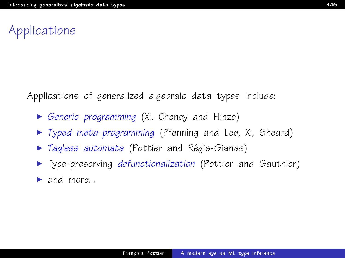# Applications

Applications of generalized algebraic data types include:

- $\triangleright$  Generic programming (Xi, Cheney and Hinze)
- $\triangleright$  Typed meta-programming (Pfenning and Lee, Xi, Sheard)
- In Tagless automata (Pottier and Régis-Gianas)
- I Type-preserving defunctionalization (Pottier and Gauthier)
- $\blacktriangleright$  and more...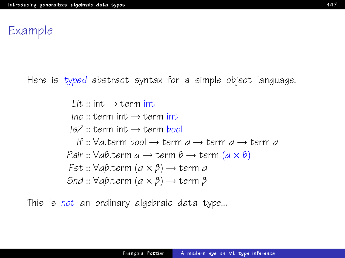#### Example

Here is typed abstract syntax for a simple object language.

 $Lit :: int \rightarrow term$  int  $Inc :: term$  int  $\rightarrow$  term int  $IsZ :: term$  int  $\rightarrow$  term bool If ::  $\forall a$  term bool  $\rightarrow$  term  $a \rightarrow$  term  $a \rightarrow$  term  $a$ Pair ::  $\forall a\beta$ .term  $a \rightarrow \text{term } \beta \rightarrow \text{term } (a \times \beta)$  $Fst :: \forall a\beta$ .term  $(a \times \beta) \rightarrow$  term a Snd ::  $\forall a\beta$ .term  $(a \times \beta) \rightarrow$  term  $\beta$ 

This is not an ordinary algebraic data type...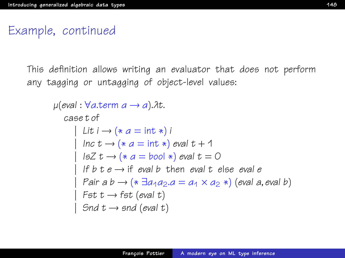This definition allows writing an evaluator that does not perform any tagging or untagging of object-level values:

```
\mu(eval : \forall a.term a \rightarrow a).\lambda t.
   case t of
          Lit i \rightarrow (* a = int *) i
          Inc t \rightarrow (* a = int *) eval t + 115Z t \rightarrow (* a = bool * ) eval t = 0If b \, t \, e \rightarrow \text{if } \text{eval } b then eval t else eval e
          Pair a b \rightarrow (* \exists a_1 a_2.a = a_1 \times a_2 *) (eval a, eval b)
        Fst t \rightarrow fst (eval t)
         Snd t \rightarrow snd (eval t)
```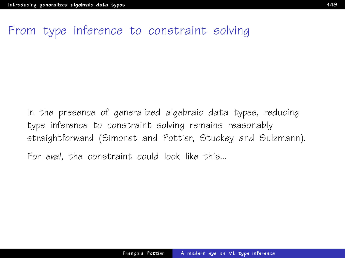#### From type inference to constraint solving

In the presence of generalized algebraic data types, reducing type inference to constraint solving remains reasonably straightforward (Simonet and Pottier, Stuckey and Sulzmann). For eval, the constraint could look like this...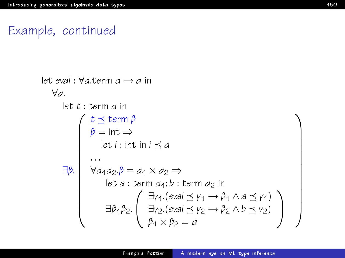let eval: 
$$
\forall a.\text{term } a \rightarrow a \text{ in}
$$
  
\n $\forall a.\$   
\nlet t: term a in  
\n $\beta = \text{int} \Rightarrow$   
\nlet i: int in i  $\leq a$   
\n...  
\n $\exists \beta.\$   
\n $\forall a_1 a_2.\beta = a_1 \times a_2 \Rightarrow$   
\nlet a: term a\_1:b: term a\_2 in  
\n $\exists \gamma_1. (eval \leq \gamma_1 \rightarrow \beta_1 \land a \leq \gamma_1)$   
\n $\exists \beta_1 \beta_2.\left(\begin{array}{c}\exists \gamma_1. (eval \leq \gamma_2 \rightarrow \beta_2 \land b \leq \gamma_2) \\ \exists \gamma_2. (eval \leq \gamma_2 \rightarrow \beta_2 \land b \leq \gamma_2) \\ \beta_1 \times \beta_2 = a \end{array}\right)$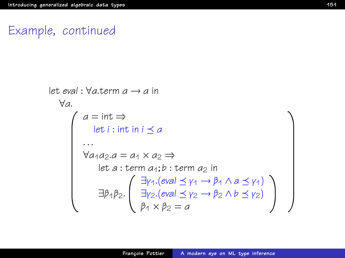let eval : Va-term 
$$
a \rightarrow a
$$
 in  
\n $\forall a$ .  
\n
$$
\begin{pmatrix}\na = \text{int} \Rightarrow \\
\text{let } i : \text{int in } i \leq a \\
\vdots \\
\forall a_1 a_2 \ldots a = a_1 \times a_2 \Rightarrow \\
\text{let } a : \text{term } a_1; b : \text{term } a_2 \text{ in} \\
\exists \beta_1 \beta_2. \left( \begin{array}{c}\n\exists y_1 \ldots (\text{eval } \leq y_1 \rightarrow \beta_1 \land a \leq y_1) \\
\exists y_2 \ldots (\text{eval } \leq y_2 \rightarrow \beta_2 \land b \leq y_2) \\
\beta_1 \times \beta_2 = a\n\end{array} \right)\n\end{pmatrix}
$$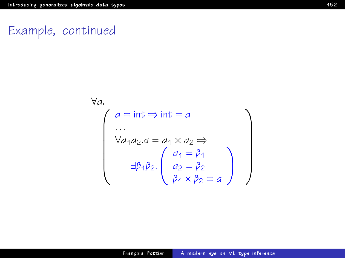$$
\forall a. \n\begin{pmatrix}\na = \text{int} \Rightarrow \text{int} = a \\
\cdots \\
\forall a_1 a_2 \cdot a = a_1 \times a_2 \Rightarrow \\
\exists \beta_1 \beta_2 \cdot \begin{pmatrix}\na_1 = \beta_1 \\
a_2 = \beta_2 \\
\beta_1 \times \beta_2 = a\n\end{pmatrix}\n\end{pmatrix}
$$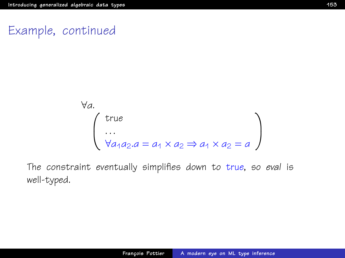$$
\forall a. \n( \text{true} \n\cdots \n\forall a_1 a_2 \ldots a_1 \times a_2 \Rightarrow a_1 \times a_2 = a
$$

The constraint eventually simplifies down to true, so eval is well-typed.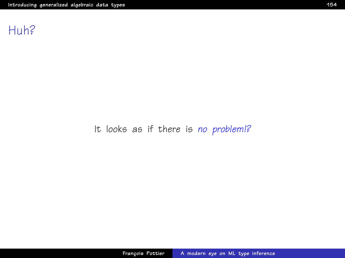#### Huh?

#### It looks as if there is no problem!?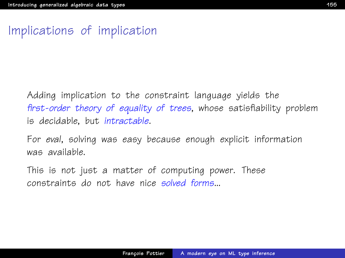#### Implications of implication

Adding implication to the constraint language yields the first-order theory of equality of trees, whose satisfiability problem is decidable, but intractable.

For eval, solving was easy because enough explicit information was available.

This is not just a matter of computing power. These constraints do not have nice solved forms...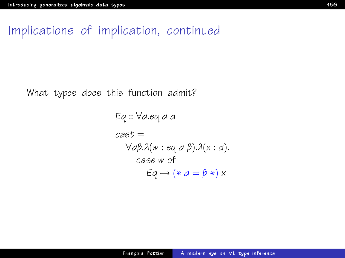# Implications of implication, continued

What types does this function admit?

$$
Eq:: \forall a.eq \ a \ a
$$
\n
$$
cast =
$$
\n
$$
\forall a \beta. \lambda (w : eq \ a \ \beta). \lambda (x : a).
$$
\n
$$
case \ w \ of
$$
\n
$$
Eq \rightarrow (* a = \beta *) \ x
$$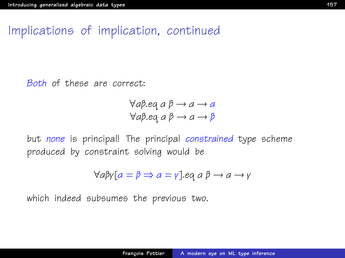## Implications of implication, continued

Both of these are correct:

∀αβ.eq α β → α → α ∀αβ.eq α β → α → β

but none is principal! The principal constrained type scheme produced by constraint solving would be

$$
\forall a \beta \gamma [a = \beta \Rightarrow a = \gamma].eq a \beta \rightarrow a \rightarrow \gamma
$$

which indeed subsumes the previous two.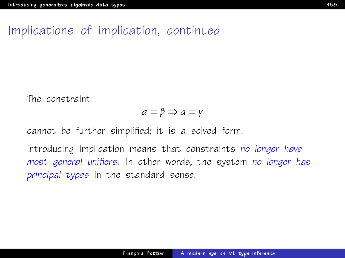# Implications of implication, continued

The constraint

$$
a = \beta \Rightarrow a = \gamma
$$

cannot be further simplified; it is a solved form.

Introducing implication means that constraints no longer have most general unifiers. In other words, the system no longer has principal types in the standard sense.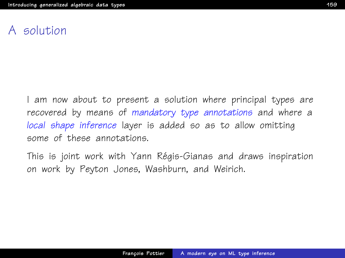## A solution

I am now about to present a solution where principal types are recovered by means of mandatory type annotations and where a local shape inference layer is added so as to allow omitting some of these annotations.

This is joint work with Yann Regis-Gianas and draws inspiration ´ on work by Peyton Jones, Washburn, and Weirich.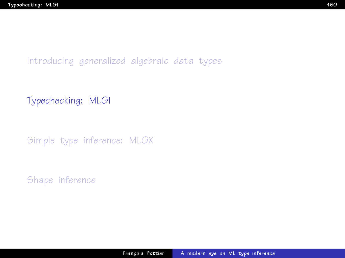[Introducing generalized algebraic data types](#page-140-0)

[Typechecking: MLGI](#page-159-0)

[Simple type inference: MLGX](#page-170-0)

<span id="page-159-0"></span>[Shape inference](#page-179-0)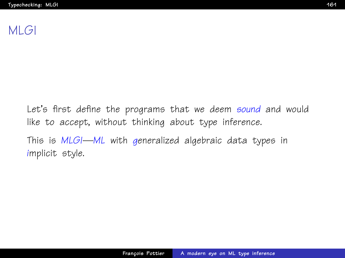# MLGI

Let's first define the programs that we deem sound and would like to accept, without thinking about type inference.

This is MLGI—ML with generalized algebraic data types in implicit style.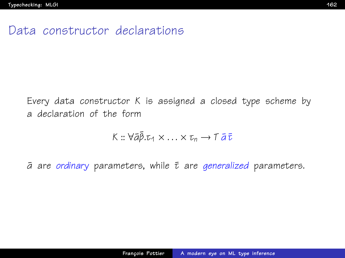#### Data constructor declarations

Every data constructor K is assigned a closed type scheme by a declaration of the form

$$
\mathcal{K} :: \forall \bar{a}\bar{\beta}. \tau_1 \times \ldots \times \tau_n \longrightarrow T \bar{a} \bar{\tau}
$$

 $\bar{a}$  are ordinary parameters, while  $\bar{t}$  are generalized parameters.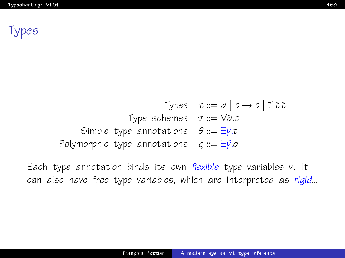Types  $\tau ::= a | \tau \rightarrow \tau | \tau \bar{\tau} \bar{\tau}$ Type schemes  $\sigma ::= \forall \bar{a}.\tau$ Simple type annotations  $\theta ::= \exists \bar{y}. \tau$ Polymorphic type annotations  $\varsigma ::= \exists \bar{y} . \sigma$ 

Each type annotation binds its own flexible type variables  $\bar{v}$ . It can also have free type variables, which are interpreted as rigid...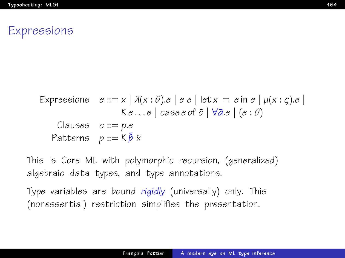## **Expressions**

Expressions

\n
$$
e ::= x \mid \lambda(x : \theta).e \mid e e \mid \text{let } x = e \text{ in } e \mid \mu(x : \zeta).e \mid x \text{ is a } e \text{ in } e \text{ in } e \text{ in } e \text{ in } e \text{ in } e \text{ in } e \text{ in } e \text{ in } e \text{ in } e \text{ in } e \text{ in } e \text{ in } e \text{ in } e \text{ in } e \text{ in } e \text{ in } e \text{ in } e \text{ in } e \text{ in } e \text{ in } e \text{ in } e \text{ in } e \text{ in } e \text{ in } e \text{ in } e \text{ in } e \text{ in } e \text{ in } e \text{ in } e \text{ in } e \text{ in } e \text{ in } e \text{ in } e \text{ in } e \text{ in } e \text{ in } e \text{ in } e \text{ in } e \text{ in } e \text{ in } e \text{ in } e \text{ in } e \text{ in } e \text{ in } e \text{ in } e \text{ in } e \text{ in } e \text{ in } e \text{ in } e \text{ in } e \text{ in } e \text{ in } e \text{ in } e \text{ in } e \text{ in } e \text{ in } e \text{ in } e \text{ in } e \text{ in } e \text{ in } e \text{ in } e \text{ in } e \text{ in } e \text{ in } e \text{ in } e \text{ in } e \text{ in } e \text{ in } e \text{ in } e \text{ in } e \text{ in } e \text{ in } e \text{ in } e \text{ in } e \text{ in } e \text{ in } e \text{ in } e \text{ in } e \text{ in } e \text{ in } e \text{ in } e \text{ in } e \text{ in } e \text{ in } e \text{ in } e \text{ in } e \text{ in } e \text{ in } e \text{ in } e \text{ in } e \text{ in } e \text{ in } e \text{ in } e \text{ in } e \text{ in } e \text{ in } e \text{ in } e \text{ in } e \text{ in } e \text{ in } e \text{ in } e \text{ in } e \text{ in } e \text{ in } e \text{ in } e \text{ in } e \text{ in } e \text{ in } e \text{ in } e \text{ in } e \text{ in } e \text{ in } e \text{ in } e \text{ in } e \text{ in } e \text{ in } e \
$$

This is Core ML with polymorphic recursion, (generalized) algebraic data types, and type annotations.

Type variables are bound rigidly (universally) only. This (nonessential) restriction simplifies the presentation.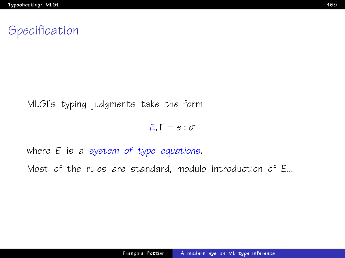# **Specification**

#### MLGI's typing judgments take the form

 $E, \Gamma \vdash e : \sigma$ 

where E is a system of type equations.

Most of the rules are standard, modulo introduction of E...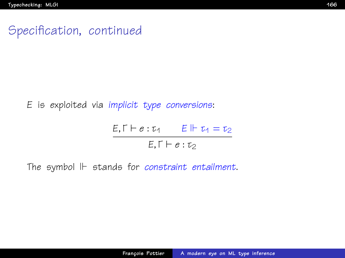#### E is exploited via implicit type conversions:

$$
\frac{E, \Gamma \vdash e : \tau_1 \qquad E \Vdash \tau_1 = \tau_2}{E, \Gamma \vdash e : \tau_2}
$$

The symbol  $\mathbb H$  stands for constraint entailment.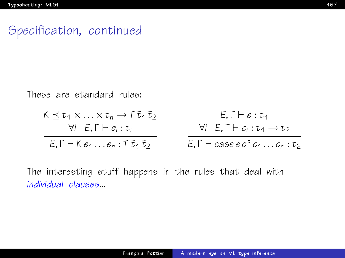These are standard rules:

| $K \preceq \tau_1 \times \ldots \times \tau_n \rightarrow \tau \bar{\tau}_1 \bar{\tau}_2$ | $E, \Gamma \vdash e : \tau_1$                                 |
|-------------------------------------------------------------------------------------------|---------------------------------------------------------------|
| $\forall i$ $E, \Gamma \vdash e_i : \tau_i$                                               | $\forall i \in \Gamma \vdash c_i : \tau_1 \rightarrow \tau_2$ |
| $E, \Gamma \vdash K e_1 \ldots e_n : T \overline{\tau}_1 \overline{\tau}_2$               | $E, \Gamma \vdash$ case e of $c_1 \ldots c_n : \tau_2$        |

The interesting stuff happens in the rules that deal with individual clauses...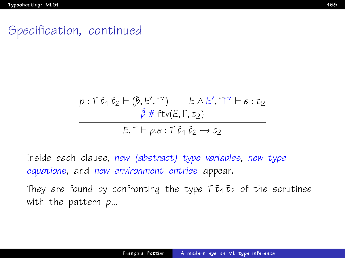$$
p: T\overline{v}_1\overline{v}_2 \vdash (\overline{\beta}, E', \Gamma') \qquad E \wedge E', \Gamma\Gamma' \vdash e: v_2
$$
  
\n
$$
\overline{\beta} \# \text{ftv}(E, \Gamma, v_2)
$$
  
\n
$$
E, \Gamma \vdash p.e: T\overline{v}_1\overline{v}_2 \rightarrow v_2
$$

<span id="page-167-0"></span>Inside each clause, new (abstract) type variables, new type equations, and new environment entries appear.

They are found by confronting the type  $T \bar{t}_1 \bar{t}_2$  of the scrutinee with the pattern p...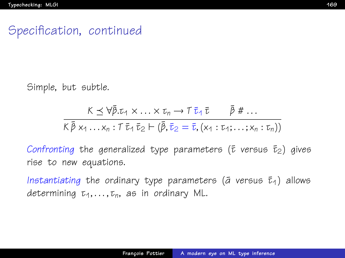Simple, but subtle.

$$
\frac{K \preceq \forall \overline{\beta}. \tau_1 \times \ldots \times \tau_n \to \tau \overline{\tau}_1 \overline{\tau} \qquad \overline{\beta} \# \ldots}{K \overline{\beta} \times_1 \ldots \times_n : \tau \overline{\tau}_1 \overline{\tau}_2 \vdash (\overline{\beta}, \overline{\tau}_2 = \overline{\tau}, (x_1 : \tau_1; \ldots; x_n : \tau_n))}
$$

Confronting the generalized type parameters ( $\bar{t}$  versus  $\bar{t}$ <sub>2</sub>) gives rise to new equations.

Instantiating the ordinary type parameters ( $\bar{a}$  versus  $\bar{t}_1$ ) allows determining  $\tau_1, \ldots, \tau_n$ , as in ordinary ML.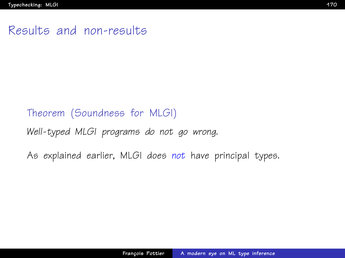#### Results and non-results

#### Theorem (Soundness for MLGI)

#### Well-typed MLGI programs do not go wrong.

As explained earlier, MLGI does not have principal types.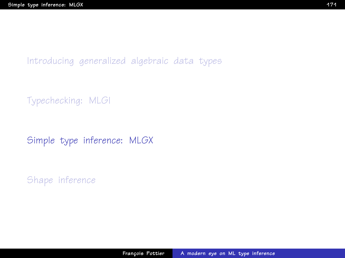[Introducing generalized algebraic data types](#page-140-0)

[Typechecking: MLGI](#page-159-0)

[Simple type inference: MLGX](#page-170-0)

<span id="page-170-0"></span>[Shape inference](#page-179-0)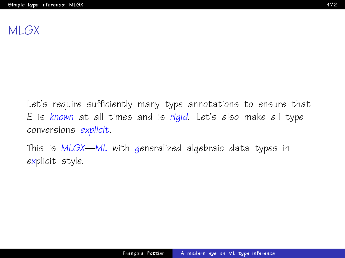# MLGX

Let's require sufficiently many type annotations to ensure that E is known at all times and is rigid. Let's also make all type conversions explicit.

This is MLGX—ML with generalized algebraic data types in explicit style.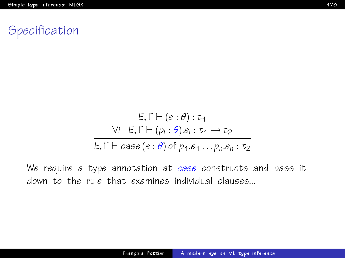# **Specification**

$$
E, \Gamma \vdash (e : \theta) : \tau_1
$$
  
\n
$$
\forall i \quad E, \Gamma \vdash (p_i : \theta).e_i : \tau_1 \rightarrow \tau_2
$$
  
\n
$$
E, \Gamma \vdash case(e : \theta) \text{ of } p_1.e_1 ... p_n.e_n : \tau_2
$$

We require a type annotation at case constructs and pass it down to the rule that examines individual clauses...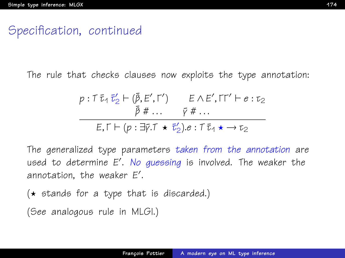The rule that checks clauses now exploits the type annotation:

$$
p: T \overline{v}_1 \overline{v}_2' \vdash (\overline{\beta}, E', \Gamma') \qquad E \wedge E', \Gamma \Gamma' \vdash e: v_2
$$
  

$$
\overline{\beta} \# \dots \qquad \overline{\gamma} \# \dots
$$
  

$$
E, \Gamma \vdash (p: \exists \overline{\gamma}.T \star \overline{v}_2').e: T \overline{v}_1 \star \rightarrow v_2
$$

The generalized type parameters taken from the annotation are used to determine E'. No guessing is involved. The weaker the annotation, the weaker  $E'.$ 

(? stands for a type that is discarded.) [\(See analogous rule in MLGI.\)](#page-167-0)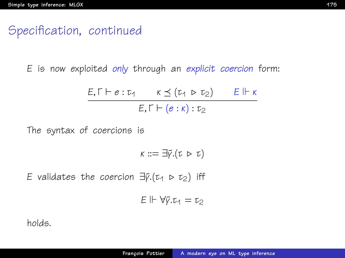E is now exploited only through an explicit coercion form:

$$
\frac{E, \Gamma \vdash e : \tau_1 \qquad \kappa \leq (\tau_1 \triangleright \tau_2) \qquad E \Vdash \kappa}{E, \Gamma \vdash (e : \kappa) : \tau_2}
$$

The syntax of coercions is

$$
\kappa ::= \exists \bar{\gamma}.(\tau \, \triangleright \, \tau)
$$

E validates the coercion  $\exists \bar{y}.(\tau_1 \triangleright \tau_2)$  iff

$$
E \Vdash \forall \bar{\gamma}. \tau_1 = \tau_2
$$

holds.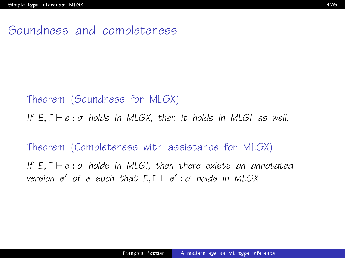# Soundness and completeness

#### Theorem (Soundness for MLGX)

If  $E, \Gamma \vdash e : \sigma$  holds in MLGX, then it holds in MLGI as well.

#### Theorem (Completeness with assistance for MLGX)

If  $E, \Gamma \vdash e : \sigma$  holds in MLGI, then there exists an annotated version  $e'$  of  $e$  such that  $E, \Gamma \vdash e' : \sigma$  holds in MLGX.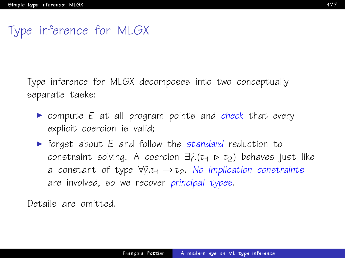# Type inference for MLGX

Type inference for MLGX decomposes into two conceptually separate tasks:

- $\triangleright$  compute E at all program points and check that every explicit coercion is valid;
- $\triangleright$  forget about E and follow the standard reduction to constraint solving. A coercion  $\exists \bar{v}$ . ( $\tau_1 \triangleright \tau_2$ ) behaves just like a constant of type  $\forall \bar{v}.\tau_1 \rightarrow \tau_2$ . No implication constraints are involved, so we recover principal types.

Details are omitted.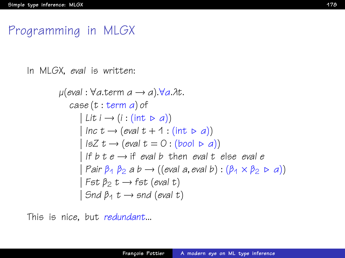## Programming in MLGX

In MLGX, eval is written:

$$
\mu(eval: \forall a \text{.term } a \rightarrow a). \forall a. \lambda t.
$$
\n
$$
\text{case}(t: \text{term } a) \text{ of}
$$
\n
$$
|\text{Lit } i \rightarrow (i: (\text{int } \triangleright a))
$$
\n
$$
|\text{ Inc } t \rightarrow (\text{eval } t + 1: (\text{int } \triangleright a))
$$
\n
$$
|\text{ } |sZ \text{ } t \rightarrow (\text{eval } t = 0: (\text{bool } \triangleright a))
$$
\n
$$
|\text{ } |f \text{ } b \text{ } t \text{ } e \rightarrow \text{ if } \text{ } \text{eval } b \text{ } \text{ then } \text{ } \text{eval } t \text{ } \text{ } \text{ } \text{else } \text{ } \text{eval } e
$$
\n
$$
|\text{ } \text{Pair } \beta_1 \text{ } \beta_2 \text{ } a \text{ } b \rightarrow ((\text{eval } a, \text{eval } b): (\beta_1 \times \beta_2 \text{ } \triangleright a))
$$
\n
$$
|\text{ } \text{Set } \beta_2 \text{ } t \rightarrow \text{ } \text{fst } (\text{eval } t)
$$
\n
$$
|\text{ } \text{And } \beta_1 \text{ } t \rightarrow \text{ } \text{and } (\text{eval } t)
$$

This is nice, but redundant...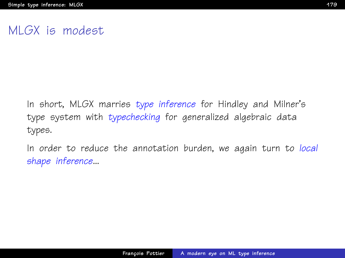#### MLGX is modest

In short, MLGX marries type inference for Hindley and Milner's type system with typechecking for generalized algebraic data types.

In order to reduce the annotation burden, we again turn to local shape inference...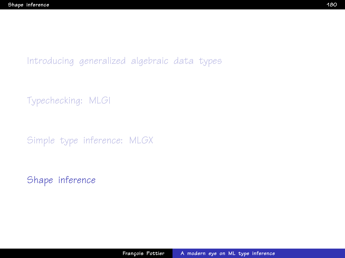[Introducing generalized algebraic data types](#page-140-0)

[Typechecking: MLGI](#page-159-0)

[Simple type inference: MLGX](#page-170-0)

<span id="page-179-0"></span>[Shape inference](#page-179-0)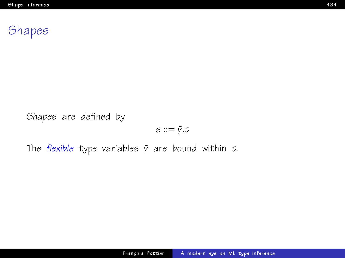## **Shapes**

Shapes are defined by

$$
\mathit{s} ::= \bar{\mathit{y}}.\mathit{t}
$$

The flexible type variables  $\bar{y}$  are bound within  $\tau$ .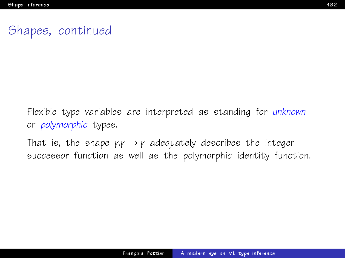# Shapes, continued

Flexible type variables are interpreted as standing for unknown or polymorphic types.

That is, the shape  $\gamma \rightarrow \gamma$  adequately describes the integer successor function as well as the polymorphic identity function.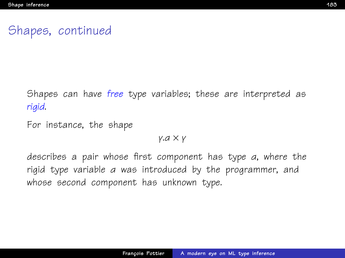## Shapes, continued

Shapes can have free type variables; these are interpreted as rigid.

For instance, the shape

#### γ.α × γ

describes a pair whose first component has type α, where the rigid type variable α was introduced by the programmer, and whose second component has unknown type.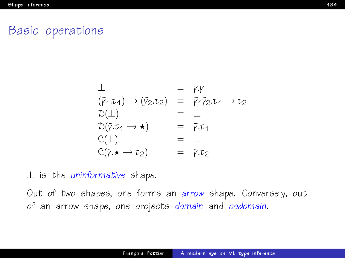## Basic operations

$$
\begin{array}{rcl}\n\bot & = & \gamma \cdot \gamma \\
(\bar{Y}_1 \cdot \bar{L}_1) \rightarrow (\bar{Y}_2 \cdot \bar{L}_2) & = & \bar{Y}_1 \bar{Y}_2 \cdot \bar{L}_1 \rightarrow \bar{L}_2 \\
\mathfrak{D}(\bot) & = & \bot \\
\mathfrak{D}(\bar{Y}_1 \cdot \bar{L}_1 \rightarrow \star) & = & \bar{Y}_1 \cdot \bar{L}_1 \\
\mathfrak{C}(\bot) & = & \bot \\
\mathfrak{C}(\bar{Y}_1 \star \rightarrow \bar{L}_2) & = & \bar{Y}_1 \cdot \bar{L}_2\n\end{array}
$$

⊥ is the uninformative shape.

Out of two shapes, one forms an arrow shape. Conversely, out of an arrow shape, one projects domain and codomain.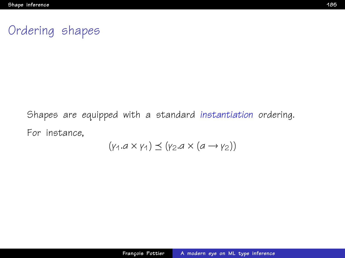## Ordering shapes

Shapes are equipped with a standard instantiation ordering. For instance,

$$
(\gamma_1.a \times \gamma_1) \preceq (\gamma_2.a \times (a \rightarrow \gamma_2))
$$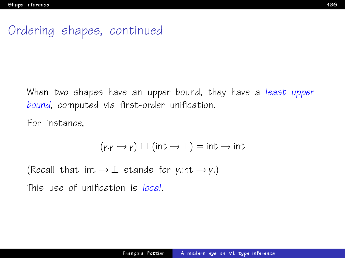# Ordering shapes, continued

When two shapes have an upper bound, they have a least upper bound, computed via first-order unification.

For instance,

$$
(\gamma.\gamma \rightarrow \gamma) \sqcup (int \rightarrow \bot) = int \rightarrow int
$$

(Recall that int  $\rightarrow \bot$  stands for y.int  $\rightarrow \gamma$ .)

This use of unification is local.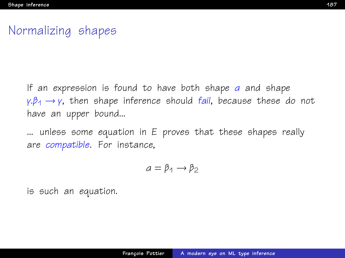### Normalizing shapes

If an expression is found to have both shape a and shape  $\gamma \cdot \beta_1 \rightarrow \gamma$ , then shape inference should fail, because these do not have an upper bound...

... unless some equation in E proves that these shapes really are compatible. For instance,

$$
a=\beta_1\to\beta_2
$$

is such an equation.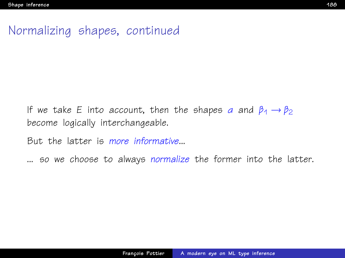# Normalizing shapes, continued

If we take E into account, then the shapes a and  $\beta_1 \rightarrow \beta_2$ become logically interchangeable.

But the latter is more informative...

... so we choose to always normalize the former into the latter.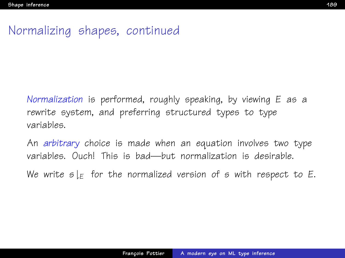# Normalizing shapes, continued

Normalization is performed, roughly speaking, by viewing E as a rewrite system, and preferring structured types to type variables.

An *arbitrary choice is made when an equation involves two type* variables. Ouch! This is bad—but normalization is desirable.

We write  $s|_{E}$  for the normalized version of s with respect to E.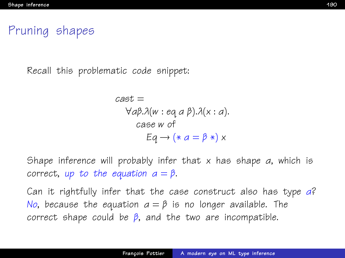#### Pruning shapes

Recall this problematic code snippet:

\n
$$
\text{cast} = \n \begin{cases}\n \forall a \beta. \lambda(w : eq \land \beta). \lambda(x : a).\n \end{cases}
$$
\n

\n\n $\text{case } w \text{ of } \quad \text{Eq} \rightarrow (\ast a = \beta \ast) \times$ \n

Shape inference will probably infer that x has shape α, which is correct, up to the equation  $a = \beta$ .

Can it rightfully infer that the case construct also has type a? No, because the equation  $a = \beta$  is no longer available. The correct shape could be  $\beta$ , and the two are incompatible.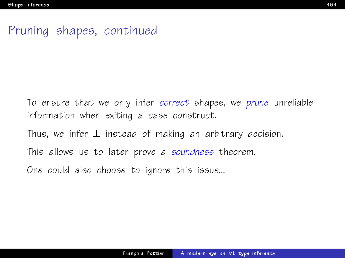## Pruning shapes, continued

To ensure that we only infer correct shapes, we prune unreliable information when exiting a case construct.

Thus, we infer  $\perp$  instead of making an arbitrary decision.

This allows us to later prove a soundness theorem.

One could also choose to ignore this issue...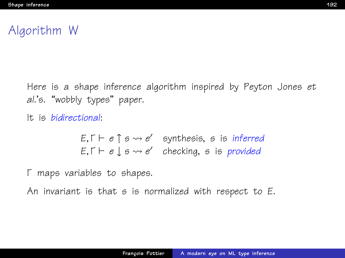### Algorithm W

Here is a shape inference algorithm inspired by Peyton Jones et al.'s. "wobbly types" paper.

It is bidirectional:

 $E, \Gamma \vdash e \uparrow s \leadsto e'$  synthesis, s is inferred  $E, \Gamma \vdash e \downarrow s \leadsto e'$  checking, s is provided

Γ maps variables to shapes.

An invariant is that s is normalized with respect to E.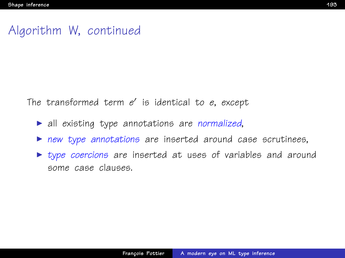The transformed term  $e'$  is identical to  $e$ , except

- $\blacktriangleright$  all existing type annotations are normalized,
- $\triangleright$  new type annotations are inserted around case scrutinees,
- ▶ type coercions are inserted at uses of variables and around some case clauses.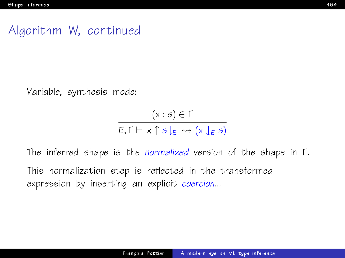Variable, synthesis mode:

$$
(x : s) \in \Gamma
$$
  
E, \Gamma \vdash x \uparrow s \downharpoonright\_{E} \rightsquigarrow (x \downarrow\_{E} s)

The inferred shape is the normalized version of the shape in Γ. This normalization step is reflected in the transformed expression by inserting an explicit coercion...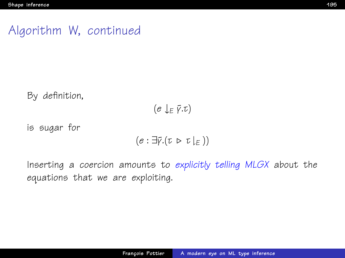By definition,

$$
(e\downarrow_E \bar{\gamma}. \tau)
$$

is sugar for

$$
(e:\exists \bar{\gamma}.(\tau \,\triangleright\, \tau\,|_E\,))
$$

Inserting a coercion amounts to explicitly telling MLGX about the equations that we are exploiting.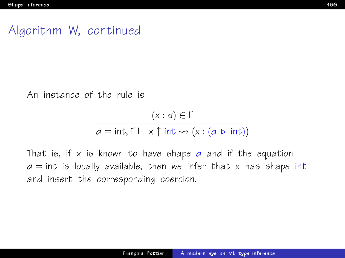An instance of the rule is

$$
(x : a) \in \Gamma
$$
  

$$
a = \text{int}, \Gamma \vdash x \uparrow \text{int} \rightsquigarrow (x : (a \triangleright \text{int}))
$$

That is, if x is known to have shape  $a$  and if the equation  $a = \text{int}$  is locally available, then we infer that x has shape int and insert the corresponding coercion.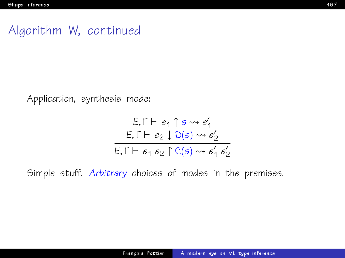Application, synthesis mode:

$$
E, \Gamma \vdash e_1 \uparrow s \leadsto e'_1
$$
\n
$$
E, \Gamma \vdash e_2 \downarrow D(s) \leadsto e'_2
$$
\n
$$
E, \Gamma \vdash e_1 e_2 \uparrow C(s) \leadsto e'_1 e'_2
$$

Simple stuff. Arbitrary choices of modes in the premises.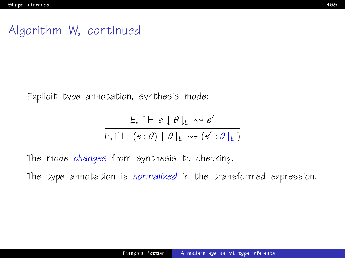Explicit type annotation, synthesis mode:

$$
\frac{E, \Gamma \vdash e \downarrow \theta \downharpoonright_{E} \rightsquigarrow e'}{E, \Gamma \vdash (e : \theta) \uparrow \theta \downharpoonright_{E} \rightsquigarrow (e' : \theta \downharpoonright_{E})}
$$

The mode changes from synthesis to checking.

The type annotation is normalized in the transformed expression.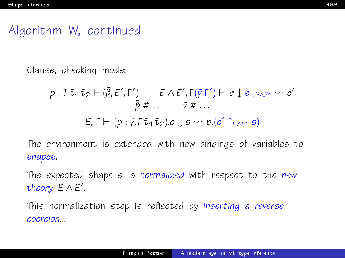Clause, checking mode:

$$
p: T\overline{t}_{1} \overline{t}_{2} \vdash (\overline{\beta}, E', \Gamma') \qquad E \wedge E', \Gamma(\overline{\gamma}, \Gamma') \vdash e \downarrow s \downharpoonright_{E \wedge E'} \rightsquigarrow e' \\
 \overline{\beta} \# \cdots \qquad \overline{\gamma} \# \cdots \\
 \overline{E}, \Gamma \vdash (p: \overline{\gamma}.T\overline{t}_{1} \overline{t}_{2}).e \downarrow s \rightsquigarrow p.(e' \upharpoonright_{E \wedge E'} s)
$$

The environment is extended with new bindings of variables to shapes.

The expected shape s is normalized with respect to the new theory  $E \wedge E'$ .

This normalization step is reflected by inserting a reverse coercion...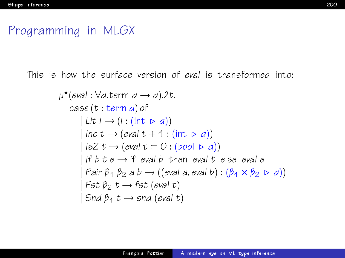## Programming in MLGX

This is how the surface version of eval is transformed into:

$$
\mu^*(eval: \forall a.term a \rightarrow a). \lambda t.
$$
  
\n
$$
case(t:term a) \text{ of}
$$
  
\n
$$
| \text{ Lit } i \rightarrow (i: (int \rhd a))
$$
  
\n
$$
| \text{ Inc } t \rightarrow (eval t + 1: (int \rhd a))
$$
  
\n
$$
| \text{ IsZ } t \rightarrow (eval t = 0: (bool \rhd a))
$$
  
\n
$$
| \text{ If } b \text{ } t \text{ } e \rightarrow \text{ if } eval \text{ } b \text{ then } eval \text{ } t \text{ } else \text{ } eval \text{ } e
$$
  
\n
$$
| \text{ Pair } \beta_1 \beta_2 \text{ } a \text{ } b \rightarrow ((eval a, eval b): (\beta_1 \times \beta_2 \rhd a))
$$
  
\n
$$
| \text{ Sst } \beta_2 \text{ } t \rightarrow \text{ fst } (eval t)
$$
  
\n
$$
| \text{ Snd } \beta_1 \text{ } t \rightarrow \text{ } end (eval t)
$$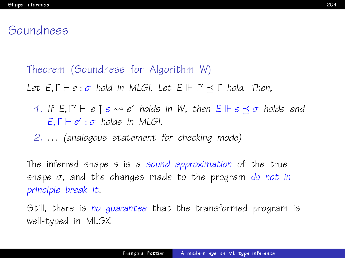#### Soundness

#### Theorem (Soundness for Algorithm W)

Let  $E, \Gamma \vdash e : \sigma$  hold in MLGI. Let  $E \Vdash \Gamma' \preceq \Gamma$  hold. Then,

- 1. If  $E, \Gamma' \vdash e \uparrow s \leadsto e'$  holds in W, then  $E \Vdash s \preceq \sigma$  holds and  $E, \Gamma \vdash e' : \sigma$  holds in MLGI.
- 2. ... (analogous statement for checking mode)

The inferred shape s is a sound approximation of the true shape  $\sigma$ , and the changes made to the program do not in principle break it.

Still, there is no quarantee that the transformed program is well-typed in MLGX!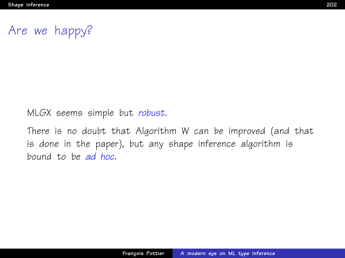## Are we happy?

MLGX seems simple but robust.

There is no doubt that Algorithm W can be improved (and that is done in the paper), but any shape inference algorithm is bound to be ad hoc.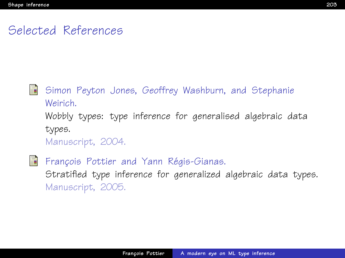# Selected References



Simon Peyton Jones, Geoffrey Washburn, and Stephanie Weirich. [Wobbly types: type inference for generalised algebraic data](http://research.microsoft.com/Users/simonpj/papers/gadt/)

[types.](http://research.microsoft.com/Users/simonpj/papers/gadt/) Manuscript, 2004.

歸 Francois Pottier and Yann Régis-Gianas. [Stratified type inference for generalized algebraic data types.](http://cristal.inria.fr/~fpottier/publis/pottier-regis-gianas-05.pdf) Manuscript, 2005.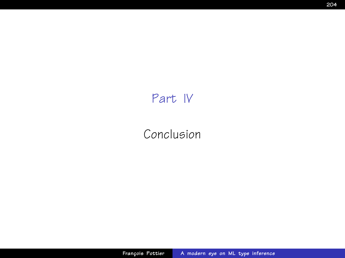## Part IV

## <span id="page-203-0"></span>[Conclusion](#page-203-0)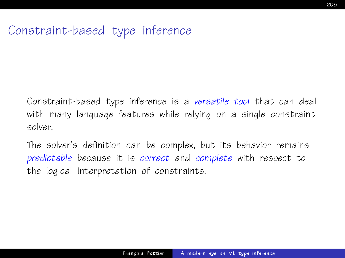## Constraint-based type inference

Constraint-based type inference is a versatile tool that can deal with many language features while relying on a single constraint solver.

The solver's definition can be complex, but its behavior remains predictable because it is correct and complete with respect to the logical interpretation of constraints.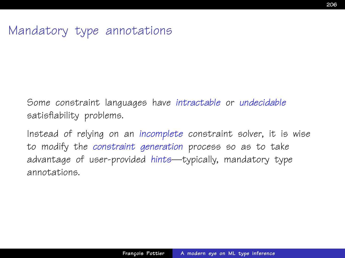### Mandatory type annotations

Some constraint languages have intractable or undecidable satisfiability problems.

Instead of relying on an incomplete constraint solver, it is wise to modify the constraint generation process so as to take advantage of user-provided hints—typically, mandatory type annotations.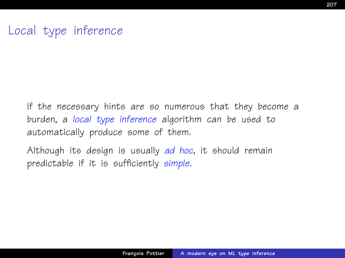## Local type inference

If the necessary hints are so numerous that they become a burden, a local type inference algorithm can be used to automatically produce some of them.

Although its design is usually ad hoc, it should remain predictable if it is sufficiently simple.